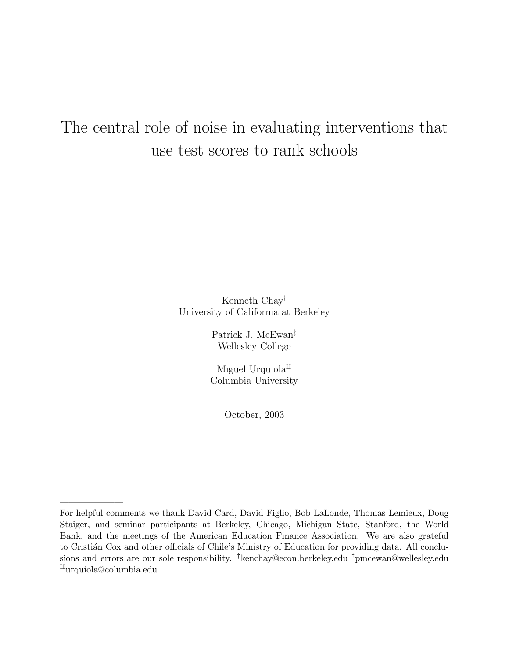# The central role of noise in evaluating interventions that use test scores to rank schools

Kenneth Chay† University of California at Berkeley

> Patrick J. McEwan‡ Wellesley College

> Miguel Urquiola $^{\text{II}}$ Columbia University

> > October, 2003

———————

For helpful comments we thank David Card, David Figlio, Bob LaLonde, Thomas Lemieux, Doug Staiger, and seminar participants at Berkeley, Chicago, Michigan State, Stanford, the World Bank, and the meetings of the American Education Finance Association. We are also grateful to Cristián Cox and other officials of Chile's Ministry of Education for providing data. All conclusions and errors are our sole responsibility. <sup>†</sup>kenchay@econ.berkeley.edu <sup>†</sup>pmcewan@wellesley.edu  $\text{u}$ urquiola@columbia.edu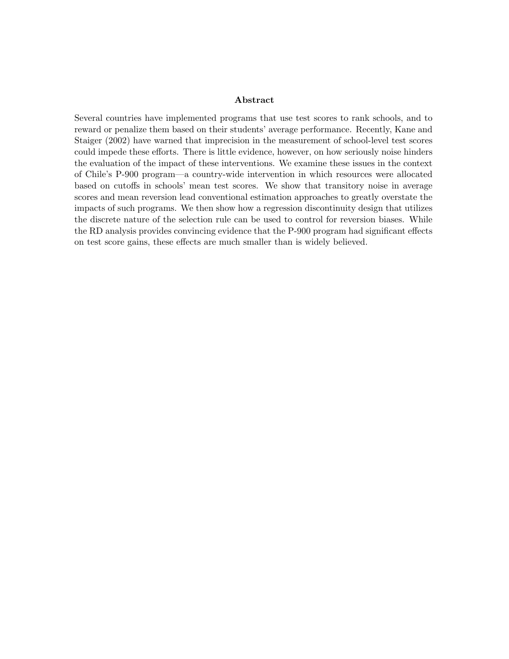#### Abstract

Several countries have implemented programs that use test scores to rank schools, and to reward or penalize them based on their students' average performance. Recently, Kane and Staiger (2002) have warned that imprecision in the measurement of school-level test scores could impede these efforts. There is little evidence, however, on how seriously noise hinders the evaluation of the impact of these interventions. We examine these issues in the context of Chile's P-900 program—a country-wide intervention in which resources were allocated based on cutoffs in schools' mean test scores. We show that transitory noise in average scores and mean reversion lead conventional estimation approaches to greatly overstate the impacts of such programs. We then show how a regression discontinuity design that utilizes the discrete nature of the selection rule can be used to control for reversion biases. While the RD analysis provides convincing evidence that the P-900 program had significant effects on test score gains, these effects are much smaller than is widely believed.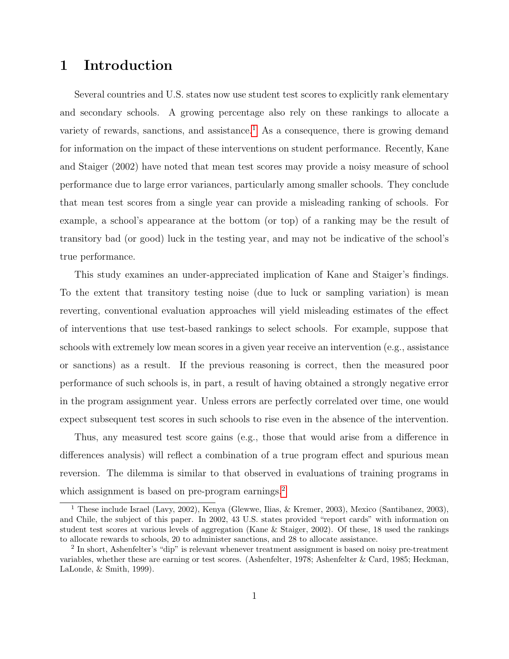# 1 Introduction

Several countries and U.S. states now use student test scores to explicitly rank elementary and secondary schools. A growing percentage also rely on these rankings to allocate a variety of rewards, sanctions, and assistance.<sup>[1](#page-2-0)</sup> As a consequence, there is growing demand for information on the impact of these interventions on student performance. Recently, Kane and Staiger (2002) have noted that mean test scores may provide a noisy measure of school performance due to large error variances, particularly among smaller schools. They conclude that mean test scores from a single year can provide a misleading ranking of schools. For example, a school's appearance at the bottom (or top) of a ranking may be the result of transitory bad (or good) luck in the testing year, and may not be indicative of the school's true performance.

This study examines an under-appreciated implication of Kane and Staiger's findings. To the extent that transitory testing noise (due to luck or sampling variation) is mean reverting, conventional evaluation approaches will yield misleading estimates of the effect of interventions that use test-based rankings to select schools. For example, suppose that schools with extremely low mean scores in a given year receive an intervention (e.g., assistance or sanctions) as a result. If the previous reasoning is correct, then the measured poor performance of such schools is, in part, a result of having obtained a strongly negative error in the program assignment year. Unless errors are perfectly correlated over time, one would expect subsequent test scores in such schools to rise even in the absence of the intervention.

Thus, any measured test score gains (e.g., those that would arise from a difference in differences analysis) will reflect a combination of a true program effect and spurious mean reversion. The dilemma is similar to that observed in evaluations of training programs in which assignment is based on pre-program earnings.<sup>[2](#page-2-1)</sup>

<span id="page-2-0"></span><sup>1</sup> These include Israel (Lavy, 2002), Kenya (Glewwe, Ilias, & Kremer, 2003), Mexico (Santibanez, 2003), and Chile, the subject of this paper. In 2002, 43 U.S. states provided "report cards" with information on student test scores at various levels of aggregation (Kane & Staiger, 2002). Of these, 18 used the rankings to allocate rewards to schools, 20 to administer sanctions, and 28 to allocate assistance.

<span id="page-2-1"></span><sup>&</sup>lt;sup>2</sup> In short, Ashenfelter's "dip" is relevant whenever treatment assignment is based on noisy pre-treatment variables, whether these are earning or test scores. (Ashenfelter, 1978; Ashenfelter & Card, 1985; Heckman, LaLonde, & Smith, 1999).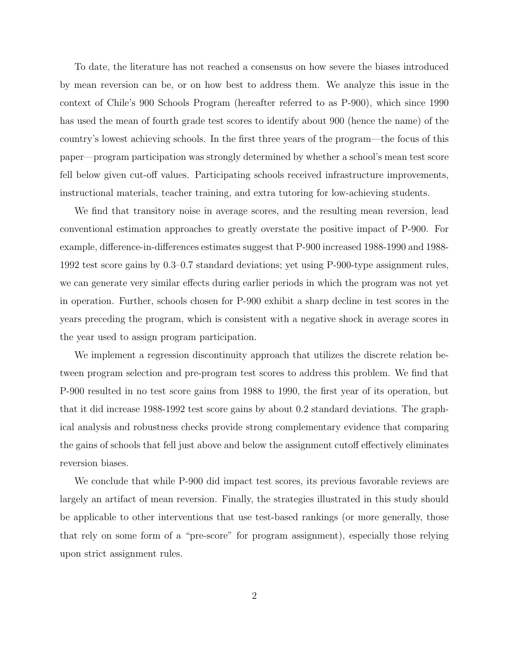To date, the literature has not reached a consensus on how severe the biases introduced by mean reversion can be, or on how best to address them. We analyze this issue in the context of Chile's 900 Schools Program (hereafter referred to as P-900), which since 1990 has used the mean of fourth grade test scores to identify about 900 (hence the name) of the country's lowest achieving schools. In the first three years of the program—the focus of this paper—program participation was strongly determined by whether a school's mean test score fell below given cut-off values. Participating schools received infrastructure improvements, instructional materials, teacher training, and extra tutoring for low-achieving students.

We find that transitory noise in average scores, and the resulting mean reversion, lead conventional estimation approaches to greatly overstate the positive impact of P-900. For example, difference-in-differences estimates suggest that P-900 increased 1988-1990 and 1988- 1992 test score gains by 0.3–0.7 standard deviations; yet using P-900-type assignment rules, we can generate very similar effects during earlier periods in which the program was not yet in operation. Further, schools chosen for P-900 exhibit a sharp decline in test scores in the years preceding the program, which is consistent with a negative shock in average scores in the year used to assign program participation.

We implement a regression discontinuity approach that utilizes the discrete relation between program selection and pre-program test scores to address this problem. We find that P-900 resulted in no test score gains from 1988 to 1990, the first year of its operation, but that it did increase 1988-1992 test score gains by about 0.2 standard deviations. The graphical analysis and robustness checks provide strong complementary evidence that comparing the gains of schools that fell just above and below the assignment cutoff effectively eliminates reversion biases.

We conclude that while P-900 did impact test scores, its previous favorable reviews are largely an artifact of mean reversion. Finally, the strategies illustrated in this study should be applicable to other interventions that use test-based rankings (or more generally, those that rely on some form of a "pre-score" for program assignment), especially those relying upon strict assignment rules.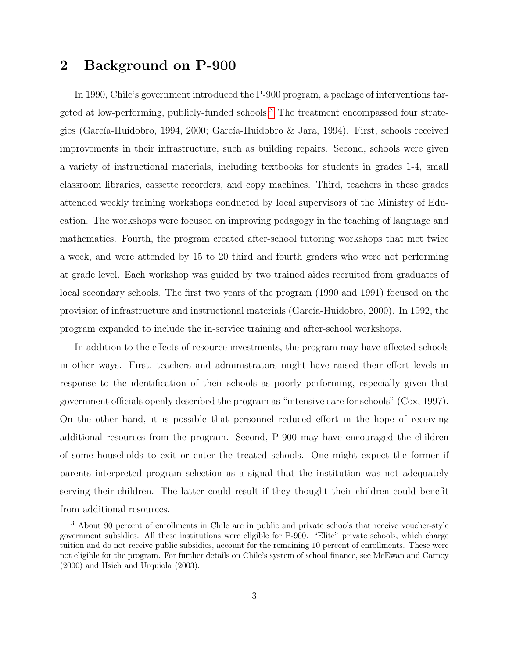### 2 Background on P-900

In 1990, Chile's government introduced the P-900 program, a package of interventions targeted at low-performing, publicly-funded schools.[3](#page-4-0) The treatment encompassed four strategies (García-Huidobro, 1994, 2000; García-Huidobro & Jara, 1994). First, schools received improvements in their infrastructure, such as building repairs. Second, schools were given a variety of instructional materials, including textbooks for students in grades 1-4, small classroom libraries, cassette recorders, and copy machines. Third, teachers in these grades attended weekly training workshops conducted by local supervisors of the Ministry of Education. The workshops were focused on improving pedagogy in the teaching of language and mathematics. Fourth, the program created after-school tutoring workshops that met twice a week, and were attended by 15 to 20 third and fourth graders who were not performing at grade level. Each workshop was guided by two trained aides recruited from graduates of local secondary schools. The first two years of the program (1990 and 1991) focused on the provision of infrastructure and instructional materials (García-Huidobro, 2000). In 1992, the program expanded to include the in-service training and after-school workshops.

In addition to the effects of resource investments, the program may have affected schools in other ways. First, teachers and administrators might have raised their effort levels in response to the identification of their schools as poorly performing, especially given that government officials openly described the program as "intensive care for schools" (Cox, 1997). On the other hand, it is possible that personnel reduced effort in the hope of receiving additional resources from the program. Second, P-900 may have encouraged the children of some households to exit or enter the treated schools. One might expect the former if parents interpreted program selection as a signal that the institution was not adequately serving their children. The latter could result if they thought their children could benefit from additional resources.

<span id="page-4-0"></span><sup>3</sup> About 90 percent of enrollments in Chile are in public and private schools that receive voucher-style government subsidies. All these institutions were eligible for P-900. "Elite" private schools, which charge tuition and do not receive public subsidies, account for the remaining 10 percent of enrollments. These were not eligible for the program. For further details on Chile's system of school finance, see McEwan and Carnoy (2000) and Hsieh and Urquiola (2003).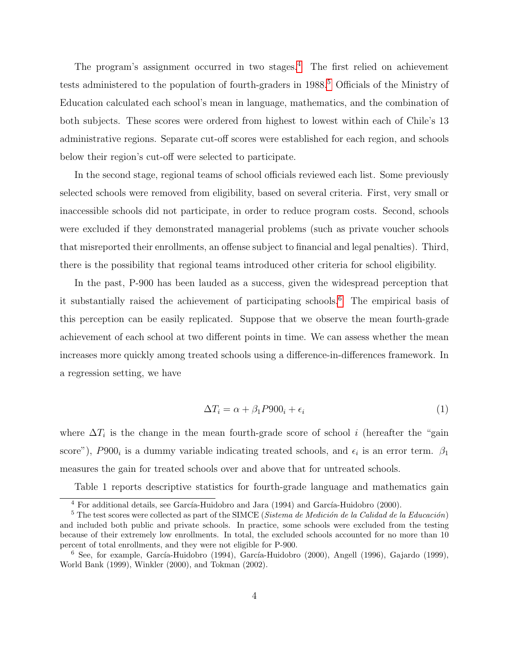The program's assignment occurred in two stages.<sup>[4](#page-5-0)</sup> The first relied on achievement tests administered to the population of fourth-graders in 1988.<sup>[5](#page-5-1)</sup> Officials of the Ministry of Education calculated each school's mean in language, mathematics, and the combination of both subjects. These scores were ordered from highest to lowest within each of Chile's 13 administrative regions. Separate cut-off scores were established for each region, and schools below their region's cut-off were selected to participate.

In the second stage, regional teams of school officials reviewed each list. Some previously selected schools were removed from eligibility, based on several criteria. First, very small or inaccessible schools did not participate, in order to reduce program costs. Second, schools were excluded if they demonstrated managerial problems (such as private voucher schools that misreported their enrollments, an offense subject to financial and legal penalties). Third, there is the possibility that regional teams introduced other criteria for school eligibility.

In the past, P-900 has been lauded as a success, given the widespread perception that it substantially raised the achievement of participating schools.[6](#page-5-2) The empirical basis of this perception can be easily replicated. Suppose that we observe the mean fourth-grade achievement of each school at two different points in time. We can assess whether the mean increases more quickly among treated schools using a difference-in-differences framework. In a regression setting, we have

$$
\Delta T_i = \alpha + \beta_1 P900_i + \epsilon_i \tag{1}
$$

where  $\Delta T_i$  is the change in the mean fourth-grade score of school i (hereafter the "gain score"),  $P900_i$  is a dummy variable indicating treated schools, and  $\epsilon_i$  is an error term.  $\beta_1$ measures the gain for treated schools over and above that for untreated schools.

Table 1 reports descriptive statistics for fourth-grade language and mathematics gain

<span id="page-5-1"></span><span id="page-5-0"></span> $4$  For additional details, see García-Huidobro and Jara (1994) and García-Huidobro (2000).

 $5$  The test scores were collected as part of the SIMCE (Sistema de Medición de la Calidad de la Educación) and included both public and private schools. In practice, some schools were excluded from the testing because of their extremely low enrollments. In total, the excluded schools accounted for no more than 10 percent of total enrollments, and they were not eligible for P-900.

<span id="page-5-2"></span> $6$  See, for example, García-Huidobro (1994), García-Huidobro (2000), Angell (1996), Gajardo (1999), World Bank (1999), Winkler (2000), and Tokman (2002).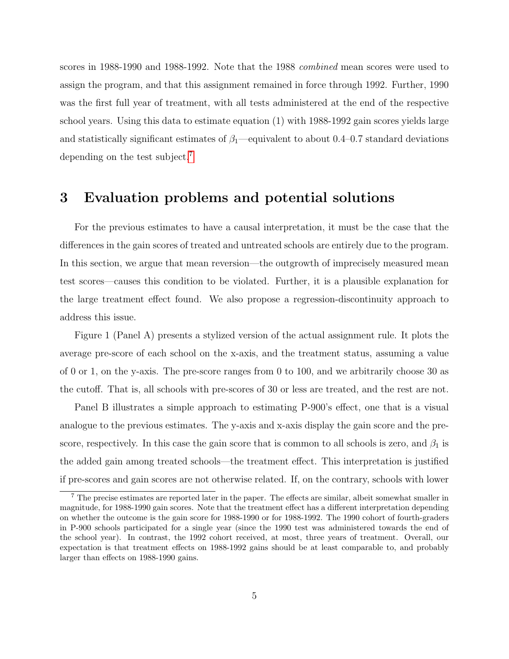scores in 1988-1990 and 1988-1992. Note that the 1988 combined mean scores were used to assign the program, and that this assignment remained in force through 1992. Further, 1990 was the first full year of treatment, with all tests administered at the end of the respective school years. Using this data to estimate equation (1) with 1988-1992 gain scores yields large and statistically significant estimates of  $\beta_1$ —equivalent to about 0.4–0.7 standard deviations depending on the test subject.[7](#page-6-0)

### 3 Evaluation problems and potential solutions

For the previous estimates to have a causal interpretation, it must be the case that the differences in the gain scores of treated and untreated schools are entirely due to the program. In this section, we argue that mean reversion—the outgrowth of imprecisely measured mean test scores—causes this condition to be violated. Further, it is a plausible explanation for the large treatment effect found. We also propose a regression-discontinuity approach to address this issue.

Figure 1 (Panel A) presents a stylized version of the actual assignment rule. It plots the average pre-score of each school on the x-axis, and the treatment status, assuming a value of 0 or 1, on the y-axis. The pre-score ranges from 0 to 100, and we arbitrarily choose 30 as the cutoff. That is, all schools with pre-scores of 30 or less are treated, and the rest are not.

Panel B illustrates a simple approach to estimating P-900's effect, one that is a visual analogue to the previous estimates. The y-axis and x-axis display the gain score and the prescore, respectively. In this case the gain score that is common to all schools is zero, and  $\beta_1$  is the added gain among treated schools—the treatment effect. This interpretation is justified if pre-scores and gain scores are not otherwise related. If, on the contrary, schools with lower

<span id="page-6-0"></span><sup>&</sup>lt;sup>7</sup> The precise estimates are reported later in the paper. The effects are similar, albeit somewhat smaller in magnitude, for 1988-1990 gain scores. Note that the treatment effect has a different interpretation depending on whether the outcome is the gain score for 1988-1990 or for 1988-1992. The 1990 cohort of fourth-graders in P-900 schools participated for a single year (since the 1990 test was administered towards the end of the school year). In contrast, the 1992 cohort received, at most, three years of treatment. Overall, our expectation is that treatment effects on 1988-1992 gains should be at least comparable to, and probably larger than effects on 1988-1990 gains.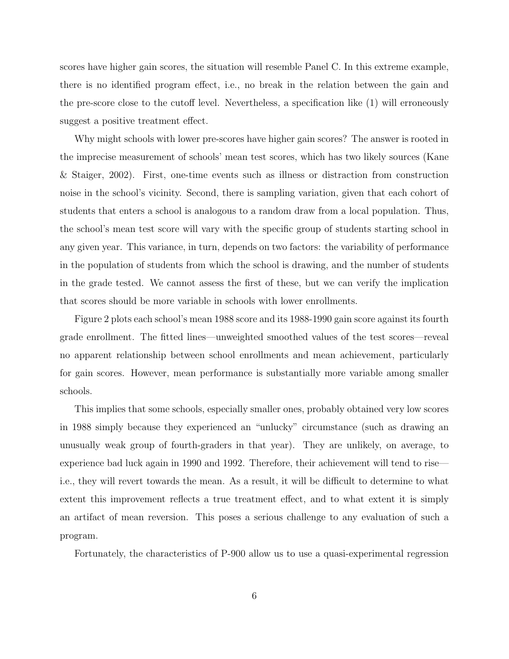scores have higher gain scores, the situation will resemble Panel C. In this extreme example, there is no identified program effect, i.e., no break in the relation between the gain and the pre-score close to the cutoff level. Nevertheless, a specification like (1) will erroneously suggest a positive treatment effect.

Why might schools with lower pre-scores have higher gain scores? The answer is rooted in the imprecise measurement of schools' mean test scores, which has two likely sources (Kane & Staiger, 2002). First, one-time events such as illness or distraction from construction noise in the school's vicinity. Second, there is sampling variation, given that each cohort of students that enters a school is analogous to a random draw from a local population. Thus, the school's mean test score will vary with the specific group of students starting school in any given year. This variance, in turn, depends on two factors: the variability of performance in the population of students from which the school is drawing, and the number of students in the grade tested. We cannot assess the first of these, but we can verify the implication that scores should be more variable in schools with lower enrollments.

Figure 2 plots each school's mean 1988 score and its 1988-1990 gain score against its fourth grade enrollment. The fitted lines—unweighted smoothed values of the test scores—reveal no apparent relationship between school enrollments and mean achievement, particularly for gain scores. However, mean performance is substantially more variable among smaller schools.

This implies that some schools, especially smaller ones, probably obtained very low scores in 1988 simply because they experienced an "unlucky" circumstance (such as drawing an unusually weak group of fourth-graders in that year). They are unlikely, on average, to experience bad luck again in 1990 and 1992. Therefore, their achievement will tend to rise i.e., they will revert towards the mean. As a result, it will be difficult to determine to what extent this improvement reflects a true treatment effect, and to what extent it is simply an artifact of mean reversion. This poses a serious challenge to any evaluation of such a program.

Fortunately, the characteristics of P-900 allow us to use a quasi-experimental regression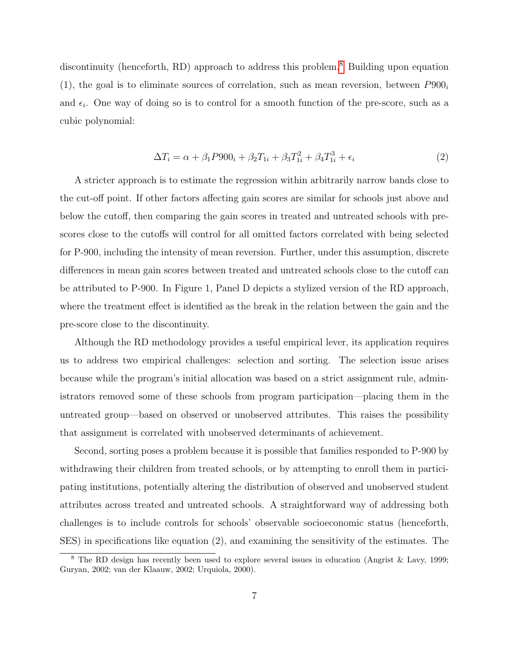discontinuity (henceforth, RD) approach to address this problem.<sup>[8](#page-8-0)</sup> Building upon equation (1), the goal is to eliminate sources of correlation, such as mean reversion, between  $P900<sub>i</sub>$ and  $\epsilon_i$ . One way of doing so is to control for a smooth function of the pre-score, such as a cubic polynomial:

$$
\Delta T_i = \alpha + \beta_1 P 900_i + \beta_2 T_{1i} + \beta_3 T_{1i}^2 + \beta_4 T_{1i}^3 + \epsilon_i
$$
\n(2)

A stricter approach is to estimate the regression within arbitrarily narrow bands close to the cut-off point. If other factors affecting gain scores are similar for schools just above and below the cutoff, then comparing the gain scores in treated and untreated schools with prescores close to the cutoffs will control for all omitted factors correlated with being selected for P-900, including the intensity of mean reversion. Further, under this assumption, discrete differences in mean gain scores between treated and untreated schools close to the cutoff can be attributed to P-900. In Figure 1, Panel D depicts a stylized version of the RD approach, where the treatment effect is identified as the break in the relation between the gain and the pre-score close to the discontinuity.

Although the RD methodology provides a useful empirical lever, its application requires us to address two empirical challenges: selection and sorting. The selection issue arises because while the program's initial allocation was based on a strict assignment rule, administrators removed some of these schools from program participation—placing them in the untreated group—based on observed or unobserved attributes. This raises the possibility that assignment is correlated with unobserved determinants of achievement.

Second, sorting poses a problem because it is possible that families responded to P-900 by withdrawing their children from treated schools, or by attempting to enroll them in participating institutions, potentially altering the distribution of observed and unobserved student attributes across treated and untreated schools. A straightforward way of addressing both challenges is to include controls for schools' observable socioeconomic status (henceforth, SES) in specifications like equation (2), and examining the sensitivity of the estimates. The

<span id="page-8-0"></span><sup>8</sup> The RD design has recently been used to explore several issues in education (Angrist & Lavy, 1999; Guryan, 2002; van der Klaauw, 2002; Urquiola, 2000).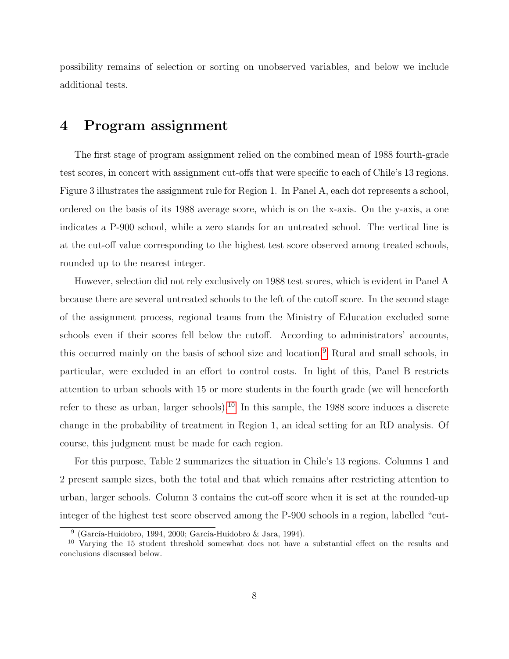possibility remains of selection or sorting on unobserved variables, and below we include additional tests.

### 4 Program assignment

The first stage of program assignment relied on the combined mean of 1988 fourth-grade test scores, in concert with assignment cut-offs that were specific to each of Chile's 13 regions. Figure 3 illustrates the assignment rule for Region 1. In Panel A, each dot represents a school, ordered on the basis of its 1988 average score, which is on the x-axis. On the y-axis, a one indicates a P-900 school, while a zero stands for an untreated school. The vertical line is at the cut-off value corresponding to the highest test score observed among treated schools, rounded up to the nearest integer.

However, selection did not rely exclusively on 1988 test scores, which is evident in Panel A because there are several untreated schools to the left of the cutoff score. In the second stage of the assignment process, regional teams from the Ministry of Education excluded some schools even if their scores fell below the cutoff. According to administrators' accounts, this occurred mainly on the basis of school size and location.[9](#page-9-0) Rural and small schools, in particular, were excluded in an effort to control costs. In light of this, Panel B restricts attention to urban schools with 15 or more students in the fourth grade (we will henceforth refer to these as urban, larger schools).<sup>[10](#page-9-1)</sup> In this sample, the 1988 score induces a discrete change in the probability of treatment in Region 1, an ideal setting for an RD analysis. Of course, this judgment must be made for each region.

For this purpose, Table 2 summarizes the situation in Chile's 13 regions. Columns 1 and 2 present sample sizes, both the total and that which remains after restricting attention to urban, larger schools. Column 3 contains the cut-off score when it is set at the rounded-up integer of the highest test score observed among the P-900 schools in a region, labelled "cut-

<span id="page-9-1"></span><span id="page-9-0"></span> $9$  (García-Huidobro, 1994, 2000; García-Huidobro & Jara, 1994).

<sup>&</sup>lt;sup>10</sup> Varying the 15 student threshold somewhat does not have a substantial effect on the results and conclusions discussed below.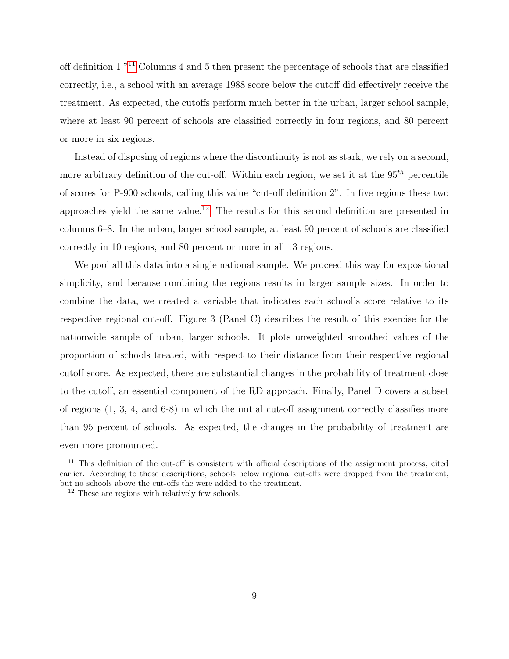off definition 1."[11](#page-10-0) Columns 4 and 5 then present the percentage of schools that are classified correctly, i.e., a school with an average 1988 score below the cutoff did effectively receive the treatment. As expected, the cutoffs perform much better in the urban, larger school sample, where at least 90 percent of schools are classified correctly in four regions, and 80 percent or more in six regions.

Instead of disposing of regions where the discontinuity is not as stark, we rely on a second, more arbitrary definition of the cut-off. Within each region, we set it at the  $95<sup>th</sup>$  percentile of scores for P-900 schools, calling this value "cut-off definition 2". In five regions these two approaches yield the same value.<sup>[12](#page-10-1)</sup> The results for this second definition are presented in columns 6–8. In the urban, larger school sample, at least 90 percent of schools are classified correctly in 10 regions, and 80 percent or more in all 13 regions.

We pool all this data into a single national sample. We proceed this way for expositional simplicity, and because combining the regions results in larger sample sizes. In order to combine the data, we created a variable that indicates each school's score relative to its respective regional cut-off. Figure 3 (Panel C) describes the result of this exercise for the nationwide sample of urban, larger schools. It plots unweighted smoothed values of the proportion of schools treated, with respect to their distance from their respective regional cutoff score. As expected, there are substantial changes in the probability of treatment close to the cutoff, an essential component of the RD approach. Finally, Panel D covers a subset of regions (1, 3, 4, and 6-8) in which the initial cut-off assignment correctly classifies more than 95 percent of schools. As expected, the changes in the probability of treatment are even more pronounced.

<span id="page-10-0"></span><sup>&</sup>lt;sup>11</sup> This definition of the cut-off is consistent with official descriptions of the assignment process, cited earlier. According to those descriptions, schools below regional cut-offs were dropped from the treatment, but no schools above the cut-offs the were added to the treatment.

<span id="page-10-1"></span><sup>12</sup> These are regions with relatively few schools.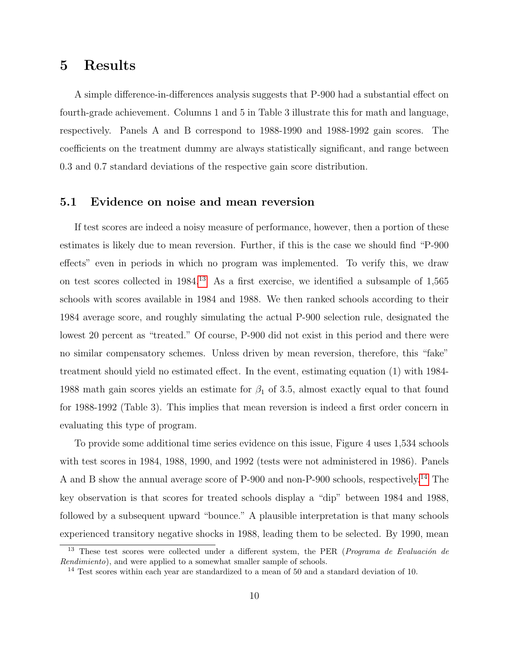### 5 Results

A simple difference-in-differences analysis suggests that P-900 had a substantial effect on fourth-grade achievement. Columns 1 and 5 in Table 3 illustrate this for math and language, respectively. Panels A and B correspond to 1988-1990 and 1988-1992 gain scores. The coefficients on the treatment dummy are always statistically significant, and range between 0.3 and 0.7 standard deviations of the respective gain score distribution.

### 5.1 Evidence on noise and mean reversion

If test scores are indeed a noisy measure of performance, however, then a portion of these estimates is likely due to mean reversion. Further, if this is the case we should find "P-900 effects" even in periods in which no program was implemented. To verify this, we draw on test scores collected in 1984.[13](#page-11-0) As a first exercise, we identified a subsample of 1,565 schools with scores available in 1984 and 1988. We then ranked schools according to their 1984 average score, and roughly simulating the actual P-900 selection rule, designated the lowest 20 percent as "treated." Of course, P-900 did not exist in this period and there were no similar compensatory schemes. Unless driven by mean reversion, therefore, this "fake" treatment should yield no estimated effect. In the event, estimating equation (1) with 1984- 1988 math gain scores yields an estimate for  $\beta_1$  of 3.5, almost exactly equal to that found for 1988-1992 (Table 3). This implies that mean reversion is indeed a first order concern in evaluating this type of program.

To provide some additional time series evidence on this issue, Figure 4 uses 1,534 schools with test scores in 1984, 1988, 1990, and 1992 (tests were not administered in 1986). Panels A and B show the annual average score of P-900 and non-P-900 schools, respectively.[14](#page-11-1) The key observation is that scores for treated schools display a "dip" between 1984 and 1988, followed by a subsequent upward "bounce." A plausible interpretation is that many schools experienced transitory negative shocks in 1988, leading them to be selected. By 1990, mean

<span id="page-11-0"></span>These test scores were collected under a different system, the PER (Programa de Evaluación de Rendimiento), and were applied to a somewhat smaller sample of schools.

<span id="page-11-1"></span><sup>&</sup>lt;sup>14</sup> Test scores within each year are standardized to a mean of 50 and a standard deviation of 10.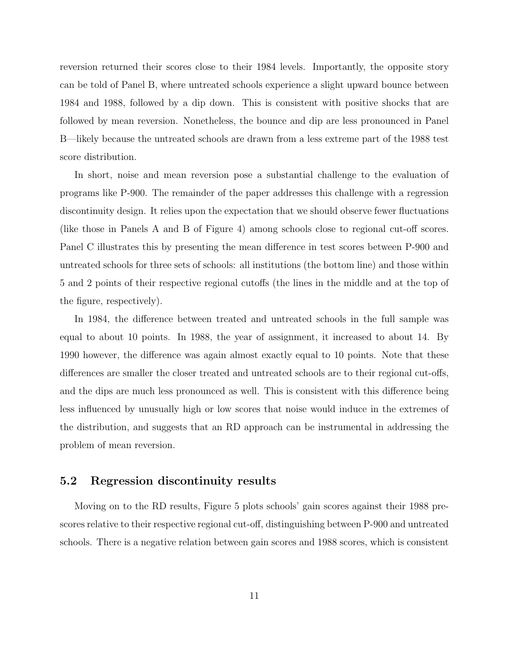reversion returned their scores close to their 1984 levels. Importantly, the opposite story can be told of Panel B, where untreated schools experience a slight upward bounce between 1984 and 1988, followed by a dip down. This is consistent with positive shocks that are followed by mean reversion. Nonetheless, the bounce and dip are less pronounced in Panel B—likely because the untreated schools are drawn from a less extreme part of the 1988 test score distribution.

In short, noise and mean reversion pose a substantial challenge to the evaluation of programs like P-900. The remainder of the paper addresses this challenge with a regression discontinuity design. It relies upon the expectation that we should observe fewer fluctuations (like those in Panels A and B of Figure 4) among schools close to regional cut-off scores. Panel C illustrates this by presenting the mean difference in test scores between P-900 and untreated schools for three sets of schools: all institutions (the bottom line) and those within 5 and 2 points of their respective regional cutoffs (the lines in the middle and at the top of the figure, respectively).

In 1984, the difference between treated and untreated schools in the full sample was equal to about 10 points. In 1988, the year of assignment, it increased to about 14. By 1990 however, the difference was again almost exactly equal to 10 points. Note that these differences are smaller the closer treated and untreated schools are to their regional cut-offs, and the dips are much less pronounced as well. This is consistent with this difference being less influenced by unusually high or low scores that noise would induce in the extremes of the distribution, and suggests that an RD approach can be instrumental in addressing the problem of mean reversion.

### 5.2 Regression discontinuity results

Moving on to the RD results, Figure 5 plots schools' gain scores against their 1988 prescores relative to their respective regional cut-off, distinguishing between P-900 and untreated schools. There is a negative relation between gain scores and 1988 scores, which is consistent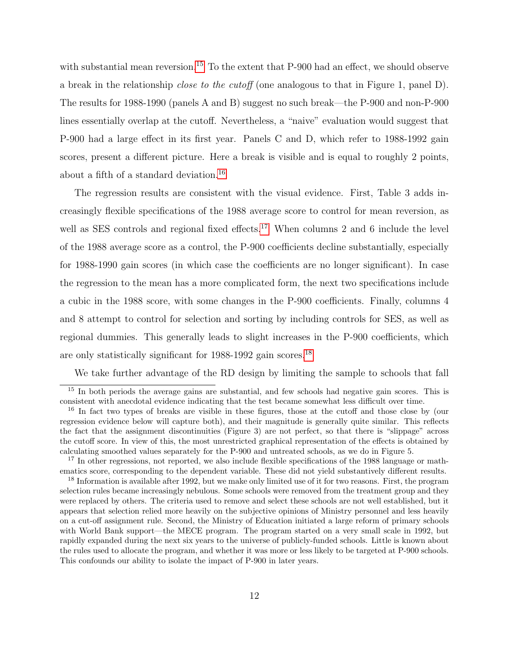with substantial mean reversion.<sup>[15](#page-13-0)</sup> To the extent that P-900 had an effect, we should observe a break in the relationship close to the cutoff (one analogous to that in Figure 1, panel D). The results for 1988-1990 (panels A and B) suggest no such break—the P-900 and non-P-900 lines essentially overlap at the cutoff. Nevertheless, a "naive" evaluation would suggest that P-900 had a large effect in its first year. Panels C and D, which refer to 1988-1992 gain scores, present a different picture. Here a break is visible and is equal to roughly 2 points, about a fifth of a standard deviation.[16](#page-13-1)

The regression results are consistent with the visual evidence. First, Table 3 adds increasingly flexible specifications of the 1988 average score to control for mean reversion, as well as SES controls and regional fixed effects.<sup>[17](#page-13-2)</sup> When columns 2 and 6 include the level of the 1988 average score as a control, the P-900 coefficients decline substantially, especially for 1988-1990 gain scores (in which case the coefficients are no longer significant). In case the regression to the mean has a more complicated form, the next two specifications include a cubic in the 1988 score, with some changes in the P-900 coefficients. Finally, columns 4 and 8 attempt to control for selection and sorting by including controls for SES, as well as regional dummies. This generally leads to slight increases in the P-900 coefficients, which are only statistically significant for 1988-1992 gain scores.[18](#page-13-3)

<span id="page-13-0"></span>We take further advantage of the RD design by limiting the sample to schools that fall

<sup>&</sup>lt;sup>15</sup> In both periods the average gains are substantial, and few schools had negative gain scores. This is consistent with anecdotal evidence indicating that the test became somewhat less difficult over time.

<span id="page-13-1"></span><sup>&</sup>lt;sup>16</sup> In fact two types of breaks are visible in these figures, those at the cutoff and those close by (our regression evidence below will capture both), and their magnitude is generally quite similar. This reflects the fact that the assignment discontinuities (Figure 3) are not perfect, so that there is "slippage" across the cutoff score. In view of this, the most unrestricted graphical representation of the effects is obtained by calculating smoothed values separately for the P-900 and untreated schools, as we do in Figure 5.

<span id="page-13-2"></span><sup>&</sup>lt;sup>17</sup> In other regressions, not reported, we also include flexible specifications of the 1988 language or mathematics score, corresponding to the dependent variable. These did not yield substantively different results.

<span id="page-13-3"></span><sup>&</sup>lt;sup>18</sup> Information is available after 1992, but we make only limited use of it for two reasons. First, the program selection rules became increasingly nebulous. Some schools were removed from the treatment group and they were replaced by others. The criteria used to remove and select these schools are not well established, but it appears that selection relied more heavily on the subjective opinions of Ministry personnel and less heavily on a cut-off assignment rule. Second, the Ministry of Education initiated a large reform of primary schools with World Bank support—the MECE program. The program started on a very small scale in 1992, but rapidly expanded during the next six years to the universe of publicly-funded schools. Little is known about the rules used to allocate the program, and whether it was more or less likely to be targeted at P-900 schools. This confounds our ability to isolate the impact of P-900 in later years.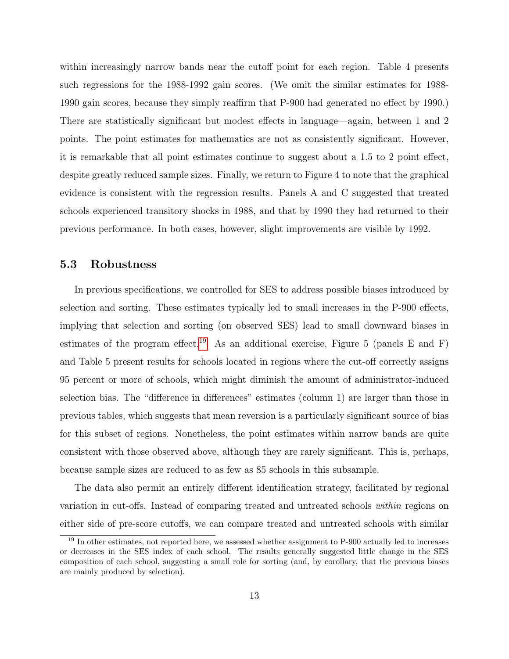within increasingly narrow bands near the cutoff point for each region. Table 4 presents such regressions for the 1988-1992 gain scores. (We omit the similar estimates for 1988- 1990 gain scores, because they simply reaffirm that P-900 had generated no effect by 1990.) There are statistically significant but modest effects in language—again, between 1 and 2 points. The point estimates for mathematics are not as consistently significant. However, it is remarkable that all point estimates continue to suggest about a 1.5 to 2 point effect, despite greatly reduced sample sizes. Finally, we return to Figure 4 to note that the graphical evidence is consistent with the regression results. Panels A and C suggested that treated schools experienced transitory shocks in 1988, and that by 1990 they had returned to their previous performance. In both cases, however, slight improvements are visible by 1992.

#### 5.3 Robustness

In previous specifications, we controlled for SES to address possible biases introduced by selection and sorting. These estimates typically led to small increases in the P-900 effects, implying that selection and sorting (on observed SES) lead to small downward biases in estimates of the program effect.<sup>[19](#page-14-0)</sup> As an additional exercise, Figure 5 (panels E and F) and Table 5 present results for schools located in regions where the cut-off correctly assigns 95 percent or more of schools, which might diminish the amount of administrator-induced selection bias. The "difference in differences" estimates (column 1) are larger than those in previous tables, which suggests that mean reversion is a particularly significant source of bias for this subset of regions. Nonetheless, the point estimates within narrow bands are quite consistent with those observed above, although they are rarely significant. This is, perhaps, because sample sizes are reduced to as few as 85 schools in this subsample.

The data also permit an entirely different identification strategy, facilitated by regional variation in cut-offs. Instead of comparing treated and untreated schools within regions on either side of pre-score cutoffs, we can compare treated and untreated schools with similar

<span id="page-14-0"></span><sup>&</sup>lt;sup>19</sup> In other estimates, not reported here, we assessed whether assignment to P-900 actually led to increases or decreases in the SES index of each school. The results generally suggested little change in the SES composition of each school, suggesting a small role for sorting (and, by corollary, that the previous biases are mainly produced by selection).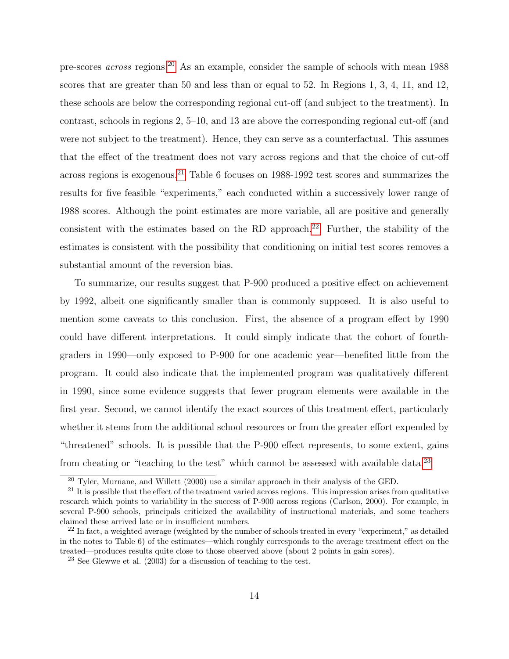pre-scores across regions.[20](#page-15-0) As an example, consider the sample of schools with mean 1988 scores that are greater than 50 and less than or equal to 52. In Regions 1, 3, 4, 11, and 12, these schools are below the corresponding regional cut-off (and subject to the treatment). In contrast, schools in regions 2, 5–10, and 13 are above the corresponding regional cut-off (and were not subject to the treatment). Hence, they can serve as a counterfactual. This assumes that the effect of the treatment does not vary across regions and that the choice of cut-off across regions is exogenous.<sup>[21](#page-15-1)</sup> Table 6 focuses on  $1988-1992$  test scores and summarizes the results for five feasible "experiments," each conducted within a successively lower range of 1988 scores. Although the point estimates are more variable, all are positive and generally consistent with the estimates based on the RD approach.<sup>[22](#page-15-2)</sup> Further, the stability of the estimates is consistent with the possibility that conditioning on initial test scores removes a substantial amount of the reversion bias.

To summarize, our results suggest that P-900 produced a positive effect on achievement by 1992, albeit one significantly smaller than is commonly supposed. It is also useful to mention some caveats to this conclusion. First, the absence of a program effect by 1990 could have different interpretations. It could simply indicate that the cohort of fourthgraders in 1990—only exposed to P-900 for one academic year—benefited little from the program. It could also indicate that the implemented program was qualitatively different in 1990, since some evidence suggests that fewer program elements were available in the first year. Second, we cannot identify the exact sources of this treatment effect, particularly whether it stems from the additional school resources or from the greater effort expended by "threatened" schools. It is possible that the P-900 effect represents, to some extent, gains from cheating or "teaching to the test" which cannot be assessed with available data.<sup>[23](#page-15-3)</sup>

<span id="page-15-1"></span><span id="page-15-0"></span> $^{20}$  Tyler, Murnane, and Willett (2000) use a similar approach in their analysis of the GED.

 $21$  It is possible that the effect of the treatment varied across regions. This impression arises from qualitative research which points to variability in the success of P-900 across regions (Carlson, 2000). For example, in several P-900 schools, principals criticized the availability of instructional materials, and some teachers claimed these arrived late or in insufficient numbers.

<span id="page-15-2"></span> $22$  In fact, a weighted average (weighted by the number of schools treated in every "experiment," as detailed in the notes to Table 6) of the estimates—which roughly corresponds to the average treatment effect on the treated—produces results quite close to those observed above (about 2 points in gain sores).

<span id="page-15-3"></span> $23$  See Glewwe et al. (2003) for a discussion of teaching to the test.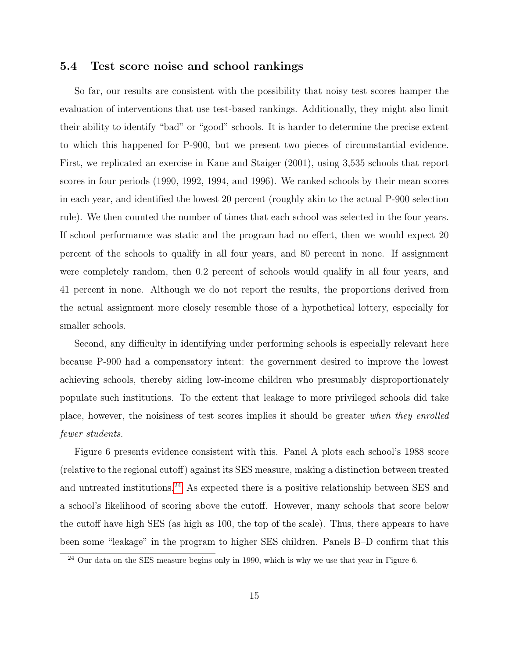#### 5.4 Test score noise and school rankings

So far, our results are consistent with the possibility that noisy test scores hamper the evaluation of interventions that use test-based rankings. Additionally, they might also limit their ability to identify "bad" or "good" schools. It is harder to determine the precise extent to which this happened for P-900, but we present two pieces of circumstantial evidence. First, we replicated an exercise in Kane and Staiger (2001), using 3,535 schools that report scores in four periods (1990, 1992, 1994, and 1996). We ranked schools by their mean scores in each year, and identified the lowest 20 percent (roughly akin to the actual P-900 selection rule). We then counted the number of times that each school was selected in the four years. If school performance was static and the program had no effect, then we would expect 20 percent of the schools to qualify in all four years, and 80 percent in none. If assignment were completely random, then 0.2 percent of schools would qualify in all four years, and 41 percent in none. Although we do not report the results, the proportions derived from the actual assignment more closely resemble those of a hypothetical lottery, especially for smaller schools.

Second, any difficulty in identifying under performing schools is especially relevant here because P-900 had a compensatory intent: the government desired to improve the lowest achieving schools, thereby aiding low-income children who presumably disproportionately populate such institutions. To the extent that leakage to more privileged schools did take place, however, the noisiness of test scores implies it should be greater when they enrolled fewer students.

Figure 6 presents evidence consistent with this. Panel A plots each school's 1988 score (relative to the regional cutoff) against its SES measure, making a distinction between treated and untreated institutions.[24](#page-16-0) As expected there is a positive relationship between SES and a school's likelihood of scoring above the cutoff. However, many schools that score below the cutoff have high SES (as high as 100, the top of the scale). Thus, there appears to have been some "leakage" in the program to higher SES children. Panels B–D confirm that this

<span id="page-16-0"></span> $24$  Our data on the SES measure begins only in 1990, which is why we use that year in Figure 6.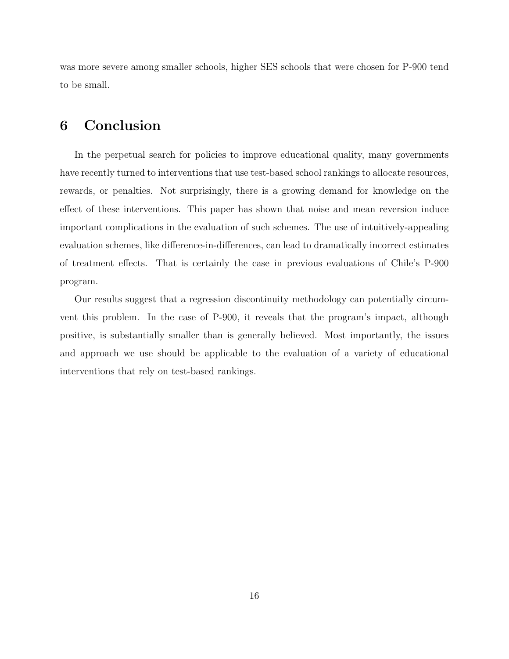was more severe among smaller schools, higher SES schools that were chosen for P-900 tend to be small.

### 6 Conclusion

In the perpetual search for policies to improve educational quality, many governments have recently turned to interventions that use test-based school rankings to allocate resources, rewards, or penalties. Not surprisingly, there is a growing demand for knowledge on the effect of these interventions. This paper has shown that noise and mean reversion induce important complications in the evaluation of such schemes. The use of intuitively-appealing evaluation schemes, like difference-in-differences, can lead to dramatically incorrect estimates of treatment effects. That is certainly the case in previous evaluations of Chile's P-900 program.

Our results suggest that a regression discontinuity methodology can potentially circumvent this problem. In the case of P-900, it reveals that the program's impact, although positive, is substantially smaller than is generally believed. Most importantly, the issues and approach we use should be applicable to the evaluation of a variety of educational interventions that rely on test-based rankings.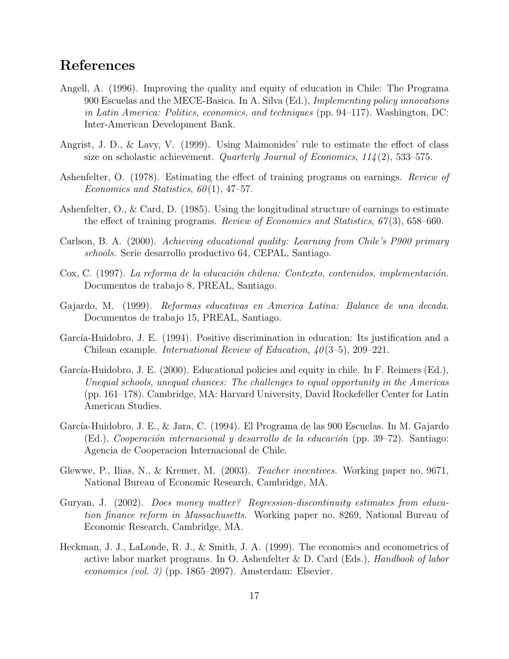## References

- Angell, A. (1996). Improving the quality and equity of education in Chile: The Programa 900 Escuelas and the MECE-Basica. In A. Silva (Ed.), Implementing policy innovations in Latin America: Politics, economics, and techniques (pp. 94–117). Washington, DC: Inter-American Development Bank.
- Angrist, J. D., & Lavy, V. (1999). Using Maimonides' rule to estimate the effect of class size on scholastic achievement. Quarterly Journal of Economics,  $114(2)$ , 533–575.
- Ashenfelter, O. (1978). Estimating the effect of training programs on earnings. Review of Economics and Statistics,  $60(1)$ , 47–57.
- Ashenfelter, O., & Card, D. (1985). Using the longitudinal structure of earnings to estimate the effect of training programs. Review of Economics and Statistics,  $67(3)$ , 658–660.
- Carlson, B. A. (2000). Achieving educational quality: Learning from Chile's P900 primary schools. Serie desarrollo productivo 64, CEPAL, Santiago.
- Cox, C. (1997). La reforma de la educación chilena: Contexto, contenidos, implementación. Documentos de trabajo 8, PREAL, Santiago.
- Gajardo, M. (1999). Reformas educativas en America Latina: Balance de una decada. Documentos de trabajo 15, PREAL, Santiago.
- García-Huidobro, J. E. (1994). Positive discrimination in education: Its justification and a Chilean example. *International Review of Education*,  $40(3-5)$ , 209–221.
- García-Huidobro, J. E. (2000). Educational policies and equity in chile. In F. Reimers (Ed.), Unequal schools, unequal chances: The challenges to equal opportunity in the Americas (pp. 161–178). Cambridge, MA: Harvard University, David Rockefeller Center for Latin American Studies.
- García-Huidobro, J. E., & Jara, C. (1994). El Programa de las 900 Escuelas. In M. Gajardo (Ed.), Cooperación internacional y desarrollo de la educación (pp. 39–72). Santiago: Agencia de Cooperacion Internacional de Chile.
- Glewwe, P., Ilias, N., & Kremer, M. (2003). Teacher incentives. Working paper no. 9671, National Bureau of Economic Research, Cambridge, MA.
- Guryan, J. (2002). Does money matter? Regression-discontinuity estimates from education finance reform in Massachusetts. Working paper no. 8269, National Bureau of Economic Research, Cambridge, MA.
- Heckman, J. J., LaLonde, R. J., & Smith, J. A. (1999). The economics and econometrics of active labor market programs. In O. Ashenfelter  $\&$  D. Card (Eds.), *Handbook of labor* economics (vol. 3) (pp. 1865–2097). Amsterdam: Elsevier.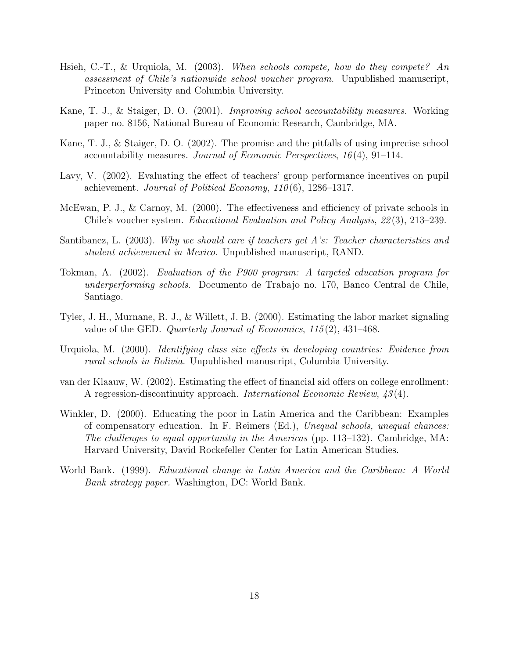- Hsieh, C.-T., & Urquiola, M. (2003). When schools compete, how do they compete? An assessment of Chile's nationwide school voucher program. Unpublished manuscript, Princeton University and Columbia University.
- Kane, T. J., & Staiger, D. O. (2001). Improving school accountability measures. Working paper no. 8156, National Bureau of Economic Research, Cambridge, MA.
- Kane, T. J., & Staiger, D. O. (2002). The promise and the pitfalls of using imprecise school accountability measures. Journal of Economic Perspectives,  $16(4)$ , 91–114.
- Lavy, V. (2002). Evaluating the effect of teachers' group performance incentives on pupil achievement. Journal of Political Economy,  $110(6)$ , 1286-1317.
- McEwan, P. J., & Carnoy, M. (2000). The effectiveness and efficiency of private schools in Chile's voucher system. Educational Evaluation and Policy Analysis, 22 (3), 213–239.
- Santibanez, L. (2003). Why we should care if teachers get A's: Teacher characteristics and student achievement in Mexico. Unpublished manuscript, RAND.
- Tokman, A. (2002). Evaluation of the P900 program: A targeted education program for underperforming schools. Documento de Trabajo no. 170, Banco Central de Chile, Santiago.
- Tyler, J. H., Murnane, R. J., & Willett, J. B. (2000). Estimating the labor market signaling value of the GED. Quarterly Journal of Economics, 115 (2), 431–468.
- Urquiola, M. (2000). Identifying class size effects in developing countries: Evidence from rural schools in Bolivia. Unpublished manuscript, Columbia University.
- van der Klaauw, W. (2002). Estimating the effect of financial aid offers on college enrollment: A regression-discontinuity approach. International Economic Review, 43 (4).
- Winkler, D. (2000). Educating the poor in Latin America and the Caribbean: Examples of compensatory education. In F. Reimers (Ed.), Unequal schools, unequal chances: The challenges to equal opportunity in the Americas (pp. 113–132). Cambridge, MA: Harvard University, David Rockefeller Center for Latin American Studies.
- World Bank. (1999). Educational change in Latin America and the Caribbean: A World Bank strategy paper. Washington, DC: World Bank.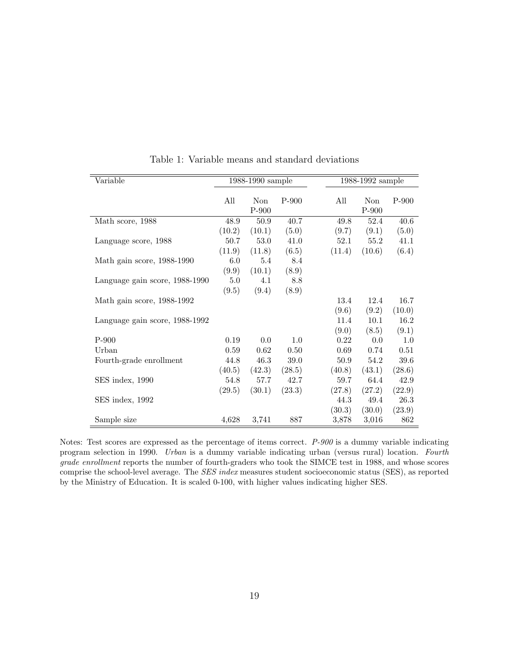| Variable                       |        | 1988-1990 sample |         |        | 1988-1992 sample |         |
|--------------------------------|--------|------------------|---------|--------|------------------|---------|
|                                |        |                  |         |        |                  |         |
|                                | All    | <b>Non</b>       | $P-900$ | All    | Non              | $P-900$ |
|                                |        | $P-900$          |         |        | $P-900$          |         |
| Math score, 1988               | 48.9   | 50.9             | 40.7    | 49.8   | 52.4             | 40.6    |
|                                | (10.2) | (10.1)           | (5.0)   | (9.7)  | (9.1)            | (5.0)   |
| Language score, 1988           | 50.7   | 53.0             | 41.0    | 52.1   | 55.2             | 41.1    |
|                                | (11.9) | (11.8)           | (6.5)   | (11.4) | (10.6)           | (6.4)   |
| Math gain score, 1988-1990     | 6.0    | 5.4              | 8.4     |        |                  |         |
|                                | (9.9)  | (10.1)           | (8.9)   |        |                  |         |
| Language gain score, 1988-1990 | 5.0    | 4.1              | 8.8     |        |                  |         |
|                                | (9.5)  | (9.4)            | (8.9)   |        |                  |         |
| Math gain score, 1988-1992     |        |                  |         | 13.4   | 12.4             | 16.7    |
|                                |        |                  |         | (9.6)  | (9.2)            | (10.0)  |
| Language gain score, 1988-1992 |        |                  |         | 11.4   | 10.1             | 16.2    |
|                                |        |                  |         | (9.0)  | (8.5)            | (9.1)   |
| $P-900$                        | 0.19   | 0.0              | 1.0     | 0.22   | 0.0              | 1.0     |
| Urban                          | 0.59   | 0.62             | 0.50    | 0.69   | 0.74             | 0.51    |
| Fourth-grade enrollment        | 44.8   | 46.3             | 39.0    | 50.9   | 54.2             | 39.6    |
|                                | (40.5) | (42.3)           | (28.5)  | (40.8) | (43.1)           | (28.6)  |
| SES index, 1990                | 54.8   | 57.7             | 42.7    | 59.7   | 64.4             | 42.9    |
|                                | (29.5) | (30.1)           | (23.3)  | (27.8) | (27.2)           | (22.9)  |
| SES index, 1992                |        |                  |         | 44.3   | 49.4             | 26.3    |
|                                |        |                  |         | (30.3) | (30.0)           | (23.9)  |
| Sample size                    | 4,628  | 3,741            | 887     | 3,878  | 3,016            | 862     |

Table 1: Variable means and standard deviations

Notes: Test scores are expressed as the percentage of items correct. P-900 is a dummy variable indicating program selection in 1990. Urban is a dummy variable indicating urban (versus rural) location. Fourth grade enrollment reports the number of fourth-graders who took the SIMCE test in 1988, and whose scores comprise the school-level average. The SES index measures student socioeconomic status (SES), as reported by the Ministry of Education. It is scaled 0-100, with higher values indicating higher SES.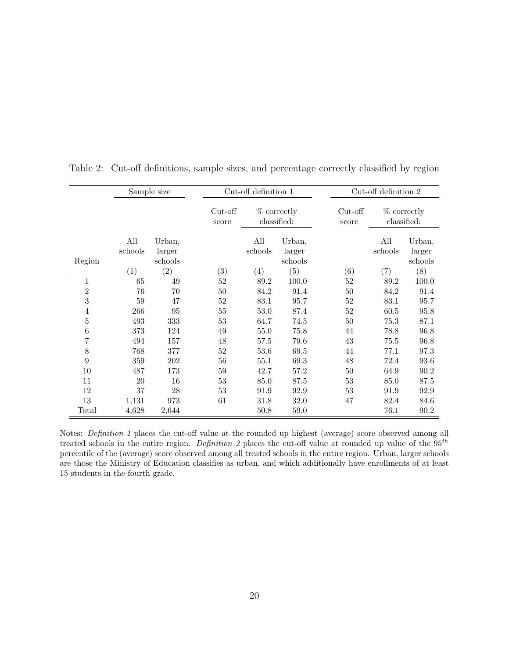|                |                | Sample size                 |                     | Cut-off definition 1 |                              |                    | Cut-off definition 2 |                              |
|----------------|----------------|-----------------------------|---------------------|----------------------|------------------------------|--------------------|----------------------|------------------------------|
|                |                |                             | $Cut$ -off<br>score |                      | $%$ correctly<br>classified: | $Cut-off$<br>score |                      | $%$ correctly<br>classified: |
| Region         | All<br>schools | Urban,<br>larger<br>schools |                     | All<br>schools       | Urban,<br>larger<br>schools  |                    | All<br>schools       | Urban,<br>larger<br>schools  |
|                | (1)            | $\left( 2\right)$           | $\left( 3\right)$   | $\left(4\right)$     | (5)                          | (6)                | $\left( 7\right)$    | (8)                          |
| 1              | 65             | 49                          | 52                  | 89.2                 | 100.0                        | 52                 | 89.2                 | 100.0                        |
| $\overline{2}$ | 76             | 70                          | 50                  | 84.2                 | 91.4                         | 50                 | 84.2                 | 91.4                         |
| $\sqrt{3}$     | 59             | 47                          | 52                  | 83.1                 | 95.7                         | 52                 | 83.1                 | 95.7                         |
| $\overline{4}$ | 266            | 95                          | 55                  | 53.0                 | 87.4                         | 52                 | 60.5                 | 95.8                         |
| 5              | 493            | 333                         | 53                  | 64.7                 | 74.5                         | 50                 | 75.3                 | 87.1                         |
| 6              | 373            | 124                         | 49                  | 55.0                 | 75.8                         | 44                 | 78.8                 | 96.8                         |
| $\overline{7}$ | 494            | 157                         | 48                  | 57.5                 | 79.6                         | 43                 | 75.5                 | 96.8                         |
| 8              | 768            | 377                         | 52                  | 53.6                 | 69.5                         | 44                 | 77.1                 | 97.3                         |
| 9              | 359            | 202                         | 56                  | 55.1                 | 69.3                         | 48                 | 72.4                 | 93.6                         |
| 10             | 487            | 173                         | $59\,$              | 42.7                 | 57.2                         | $50\,$             | 64.9                 | 90.2                         |
| 11             | 20             | 16                          | 53                  | 85.0                 | 87.5                         | 53                 | 85.0                 | 87.5                         |
| 12             | 37             | 28                          | 53                  | 91.9                 | 92.9                         | 53                 | 91.9                 | 92.9                         |
| 13             | 1,131          | 973                         | 61                  | 31.8                 | 32.0                         | 47                 | 82.4                 | 84.6                         |
| Total          | 4,628          | 2,644                       |                     | 50.8                 | 59.0                         |                    | 76.1                 | 90.2                         |

Table 2: Cut-off definitions, sample sizes, and percentage correctly classified by region

Notes: Definition 1 places the cut-off value at the rounded up highest (average) score observed among all treated schools in the entire region. Definition 2 places the cut-off value at rounded up value of the  $95<sup>th</sup>$ percentile of the (average) score observed among all treated schools in the entire region. Urban, larger schools are those the Ministry of Education classifies as urban, and which additionally have enrollments of at least 15 students in the fourth grade.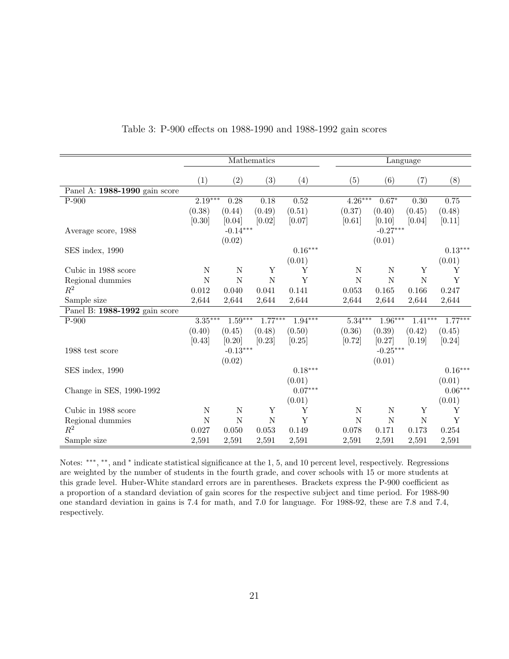|                               |             |                   | Mathematics |           |             |             | Language             |                       |
|-------------------------------|-------------|-------------------|-------------|-----------|-------------|-------------|----------------------|-----------------------|
|                               | (1)         | $\left( 2\right)$ | (3)         | (4)       | (5)         | (6)         | (7)                  | (8)                   |
| Panel A: 1988-1990 gain score |             |                   |             |           |             |             |                      |                       |
| $P-900$                       | $2.19***$   | 0.28              | 0.18        | 0.52      | $4.26***$   | $0.67*$     | 0.30                 | 0.75                  |
|                               | (0.38)      | (0.44)            | (0.49)      | (0.51)    | (0.37)      | (0.40)      | (0.45)               | (0.48)                |
|                               | [0.30]      | [0.04]            | [0.02]      | [0.07]    | [0.61]      | [0.10]      | [0.04]               | $[0.11]$              |
| Average score, 1988           |             | $-0.14***$        |             |           |             | $-0.27***$  |                      |                       |
|                               |             | (0.02)            |             |           |             | (0.01)      |                      |                       |
| SES index, 1990               |             |                   |             | $0.16***$ |             |             |                      | $0.13***$             |
|                               |             |                   |             | (0.01)    |             |             |                      | (0.01)                |
| Cubic in 1988 score           | $\mathbf N$ | N                 | Y           | Y         | $\mathbf N$ | $\mathbf N$ | Y                    | Y                     |
| Regional dummies              | $\mathbf N$ | $\mathbf N$       | $\mathbf N$ | Y         | $\mathbf N$ | $\mathbf N$ | $\overline{N}$       | Y                     |
| $\mathbb{R}^2$                | 0.012       | 0.040             | 0.041       | 0.141     | 0.053       | 0.165       | 0.166                | 0.247                 |
| Sample size                   | 2,644       | 2,644             | 2,644       | 2,644     | 2,644       | 2,644       | 2,644                | 2,644                 |
| Panel B: 1988-1992 gain score |             |                   |             |           |             |             |                      |                       |
| $P-900$                       | $3.35***$   | $1.59***$         | $1.77***$   | $1.94***$ | $5.34***$   | $1.96***$   | $1.\overline{41***}$ | $1.77***$             |
|                               | (0.40)      | (0.45)            | (0.48)      | (0.50)    | (0.36)      | (0.39)      | (0.42)               | (0.45)                |
|                               | [0.43]      | [0.20]            | [0.23]      | [0.25]    | [0.72]      | [0.27]      | [0.19]               | [0.24]                |
| 1988 test score               |             | $-0.13***$        |             |           |             | $-0.25***$  |                      |                       |
|                               |             | (0.02)            |             |           |             | (0.01)      |                      |                       |
| SES index, 1990               |             |                   |             | $0.18***$ |             |             |                      | $0.16***$             |
|                               |             |                   |             | (0.01)    |             |             |                      | (0.01)                |
| Change in SES, 1990-1992      |             |                   |             | $0.07***$ |             |             |                      | $0.06^{\ast\ast\ast}$ |
|                               |             |                   |             | (0.01)    |             |             |                      | (0.01)                |
| Cubic in 1988 score           | $\mathbf N$ | N                 | Y           | Y         | $\mathbf N$ | $\mathbf N$ | Y                    | Υ                     |
| Regional dummies              | $\mathbf N$ | N                 | N           | Y         | N           | N           | N                    | Y                     |
| $R^2$                         | 0.027       | 0.050             | 0.053       | 0.149     | 0.078       | 0.171       | 0.173                | 0.254                 |
| Sample size                   | 2,591       | 2,591             | 2,591       | 2,591     | 2,591       | 2,591       | 2,591                | 2,591                 |

#### Table 3: P-900 effects on 1988-1990 and 1988-1992 gain scores

Notes: \*\*\*, \*\*, and \* indicate statistical significance at the 1, 5, and 10 percent level, respectively. Regressions are weighted by the number of students in the fourth grade, and cover schools with 15 or more students at this grade level. Huber-White standard errors are in parentheses. Brackets express the P-900 coefficient as a proportion of a standard deviation of gain scores for the respective subject and time period. For 1988-90 one standard deviation in gains is 7.4 for math, and 7.0 for language. For 1988-92, these are 7.8 and 7.4, respectively.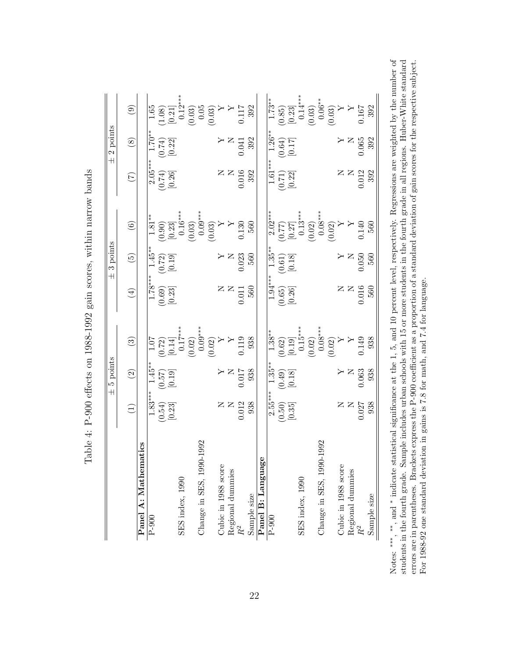|                             |                                              | 5 points<br>$\overline{+}$                                             |                                                                                                                                                                                                                                                                                                                   |                                                                    | $\pm$ 3 points                                                     |                                                                                                                                                                                                                                                                                                                                               |                                                  | $\pm 2$ points                                                                    |                                                                                                                                                                                                                                                                                                                                 |
|-----------------------------|----------------------------------------------|------------------------------------------------------------------------|-------------------------------------------------------------------------------------------------------------------------------------------------------------------------------------------------------------------------------------------------------------------------------------------------------------------|--------------------------------------------------------------------|--------------------------------------------------------------------|-----------------------------------------------------------------------------------------------------------------------------------------------------------------------------------------------------------------------------------------------------------------------------------------------------------------------------------------------|--------------------------------------------------|-----------------------------------------------------------------------------------|---------------------------------------------------------------------------------------------------------------------------------------------------------------------------------------------------------------------------------------------------------------------------------------------------------------------------------|
|                             | $\widehat{\Xi}$                              | $\odot$                                                                | $\odot$                                                                                                                                                                                                                                                                                                           | $\bigoplus$                                                        | $\widetilde{E}$                                                    | $\odot$                                                                                                                                                                                                                                                                                                                                       | E                                                | $\circledS$                                                                       | $\circledcirc$                                                                                                                                                                                                                                                                                                                  |
| Panel A: Mathematics        |                                              |                                                                        |                                                                                                                                                                                                                                                                                                                   |                                                                    |                                                                    |                                                                                                                                                                                                                                                                                                                                               |                                                  |                                                                                   |                                                                                                                                                                                                                                                                                                                                 |
| $P-900$                     |                                              |                                                                        |                                                                                                                                                                                                                                                                                                                   |                                                                    |                                                                    |                                                                                                                                                                                                                                                                                                                                               |                                                  |                                                                                   |                                                                                                                                                                                                                                                                                                                                 |
|                             | $\frac{1.83^{***}}{(0.54)}$<br>[0.23]        | $\frac{1.45}{(0.57)}$<br>[0.19]                                        |                                                                                                                                                                                                                                                                                                                   | $\frac{1.78***}{1.69}$<br>(0.69)<br>[0.23]                         | $\frac{1.45^{**}}{(0.72)}$<br>[0.19]                               |                                                                                                                                                                                                                                                                                                                                               | $\frac{2.05^{***}}{(0.74)}$ [0.26]               | $\frac{1.70^{**}}{(0.74)}$<br>$[0.22]$                                            |                                                                                                                                                                                                                                                                                                                                 |
| SES index, 1990             |                                              |                                                                        |                                                                                                                                                                                                                                                                                                                   |                                                                    |                                                                    |                                                                                                                                                                                                                                                                                                                                               |                                                  |                                                                                   |                                                                                                                                                                                                                                                                                                                                 |
|                             |                                              |                                                                        |                                                                                                                                                                                                                                                                                                                   |                                                                    |                                                                    |                                                                                                                                                                                                                                                                                                                                               |                                                  |                                                                                   |                                                                                                                                                                                                                                                                                                                                 |
| 1992<br>Change in SES, 1990 |                                              |                                                                        | $\begin{array}{c c} 1.07 \\ (0.72) \\ (0.14) \\ (0.17^{***} \\ (0.02) \\ (0.03)^{***} \\ (0.0174) \\ (0.02) \\ Y \\ Y \\ 0.119 \\ \end{array}$                                                                                                                                                                    |                                                                    |                                                                    | $\begin{array}{l} \bf{1.81^{**}} \\ \bf{1.81^{**}} \\ \bf{0.90} \\ \bf{0.23} \\ \bf{0.16^{***}} \\ \bf{0.03} \\ \bf{0.03} \\ \bf{0.03} \\ \bf{0.03} \\ \bf{0.03} \\ \bf{0.03} \\ \bf{0.03} \\ \bf{0.03} \\ \bf{0.03} \\ \bf{0.03} \\ \bf{0.03} \\ \bf{0.03} \\ \bf{0.03} \\ \bf{0.03} \\ \bf{0.03} \\ \bf{0.03} \\ \bf{0.03} \\ \bf{0.03} \\$ |                                                  |                                                                                   | $\begin{array}{r} \hline 1.65 \\[-4pt] 1.63 \\[-4pt] 0.21 \\[-4pt] 0.21 \\[-4pt] 0.33 \\[-4pt] 0.03 \\[-4pt] 0.03 \\[-4pt] 0.03 \\[-4pt] 0.03 \\[-4pt] 0.33 \\[-4pt] 0.33 \\[-4pt] 0.33 \\[-4pt] 0.33 \\[-4pt] 0.33 \\[-4pt] 0.33 \\[-4pt] 0.33 \\[-4pt] 0.33 \\[-4pt] 0.33 \\[-4pt] 0.33 \\[-4pt] 0.33 \\[-4pt] 0.33 \\[-4pt]$ |
| Cubic in 1988 score         |                                              |                                                                        |                                                                                                                                                                                                                                                                                                                   |                                                                    |                                                                    |                                                                                                                                                                                                                                                                                                                                               |                                                  |                                                                                   |                                                                                                                                                                                                                                                                                                                                 |
| Regional dummies            | $Z \n  \Sigma \n  \substack{0.018 \\ 0.038}$ | $\begin{array}{c} 866 \\ \times 100 \\ \hline 100 \\ \end{array}$      |                                                                                                                                                                                                                                                                                                                   | $\begin{array}{c}\n 2 \times 100 \\  2000 \\  0.010\n \end{array}$ | $\begin{array}{c}\n \Sigma \\  \Sigma \\  \Sigma\n \end{array}$    |                                                                                                                                                                                                                                                                                                                                               | $Z \nvert Z \nvert Z \nvert Q \nvert Q \nvert Q$ | $\begin{array}{c} \mathtt{X} \\ \mathtt{X} \\ 0.041 \\ \mathtt{0.92} \end{array}$ |                                                                                                                                                                                                                                                                                                                                 |
|                             |                                              |                                                                        |                                                                                                                                                                                                                                                                                                                   |                                                                    |                                                                    |                                                                                                                                                                                                                                                                                                                                               |                                                  |                                                                                   |                                                                                                                                                                                                                                                                                                                                 |
| Sample size                 |                                              |                                                                        | 938                                                                                                                                                                                                                                                                                                               |                                                                    | 560                                                                |                                                                                                                                                                                                                                                                                                                                               |                                                  |                                                                                   |                                                                                                                                                                                                                                                                                                                                 |
| Panel B: Language           |                                              |                                                                        |                                                                                                                                                                                                                                                                                                                   |                                                                    |                                                                    |                                                                                                                                                                                                                                                                                                                                               |                                                  |                                                                                   |                                                                                                                                                                                                                                                                                                                                 |
| $\overline{P-900}$          | $2.55***$                                    |                                                                        |                                                                                                                                                                                                                                                                                                                   |                                                                    |                                                                    |                                                                                                                                                                                                                                                                                                                                               |                                                  |                                                                                   |                                                                                                                                                                                                                                                                                                                                 |
|                             |                                              | $\frac{1.35^{**}}{(0.49)}$<br>[0.18]                                   | $\begin{array}{c} 1.38^{**} \\[-2.0ex] 1.38^{**} \\[-2.0ex] 0.02 \\[-2.0ex] 0.15^{**} \\[-2.0ex] 0.02 \\[-2.0ex] 0.02 \\[-2.0ex] 0.02 \\[-2.0ex] 0.02 \\[-2.0ex] 0.149 \\[-2.0ex] 0.38 \\[-2.0ex] 0.38 \\[-2.0ex] 0.38 \\[-2.0ex] 0.38 \\[-2.0ex] 0.38 \\[-2.0ex] 0.38 \\[-2.0ex] 0.38 \\[-2.0ex] 0.38 \\[-2.0ex$ | $\frac{1.94***}{1.94***}$<br>(0.65)<br>[0.26]                      | $\frac{1.35^{**}}{(0.61)}$<br>$[0.18]$                             | $\begin{array}{c} (0.77) \\ (0.77) \\ (0.27) \\ (0.02) \\ (0.02) \\ (0.08*** \\ (0.02) \\ (0.03) \\ (0.013) \\ (0.02) \\ (0.0140) \\ 0.140 \\ 560 \end{array}$                                                                                                                                                                                | $\frac{1.61***}{(0.71)}$<br>(0.71)               | $\frac{1.26}{(0.64)}$<br>(0.64)                                                   | $\begin{bmatrix} 1.73^{**} \\ (0.85) \\ (0.23) \\ (0.23) \\ (0.03) \\ (0.03) \\ (0.06^{**} \\ (0.03) \\ Y \\ Y \\ Y \\ 0.167 \end{bmatrix}$                                                                                                                                                                                     |
|                             | $\left[0.50\right)$ $\left[0.35\right]$      |                                                                        |                                                                                                                                                                                                                                                                                                                   |                                                                    |                                                                    |                                                                                                                                                                                                                                                                                                                                               |                                                  |                                                                                   |                                                                                                                                                                                                                                                                                                                                 |
| SES index, 1990             |                                              |                                                                        |                                                                                                                                                                                                                                                                                                                   |                                                                    |                                                                    |                                                                                                                                                                                                                                                                                                                                               |                                                  |                                                                                   |                                                                                                                                                                                                                                                                                                                                 |
|                             |                                              |                                                                        |                                                                                                                                                                                                                                                                                                                   |                                                                    |                                                                    |                                                                                                                                                                                                                                                                                                                                               |                                                  |                                                                                   |                                                                                                                                                                                                                                                                                                                                 |
| 1992<br>Change in SES, 1990 |                                              |                                                                        |                                                                                                                                                                                                                                                                                                                   |                                                                    |                                                                    |                                                                                                                                                                                                                                                                                                                                               |                                                  |                                                                                   |                                                                                                                                                                                                                                                                                                                                 |
|                             |                                              |                                                                        |                                                                                                                                                                                                                                                                                                                   |                                                                    |                                                                    |                                                                                                                                                                                                                                                                                                                                               |                                                  |                                                                                   |                                                                                                                                                                                                                                                                                                                                 |
| Cubic in 1988 score         |                                              |                                                                        |                                                                                                                                                                                                                                                                                                                   |                                                                    |                                                                    |                                                                                                                                                                                                                                                                                                                                               |                                                  |                                                                                   |                                                                                                                                                                                                                                                                                                                                 |
| Regional dummies            |                                              | $\begin{array}{c}\n \Sigma \times 1 \\  \Sigma \times 2\n \end{array}$ |                                                                                                                                                                                                                                                                                                                   |                                                                    | $\begin{array}{c}\n \Sigma \Sigma \\  \Sigma \Sigma\n \end{array}$ |                                                                                                                                                                                                                                                                                                                                               |                                                  |                                                                                   |                                                                                                                                                                                                                                                                                                                                 |
|                             | $Z \n  \, \simeq$ $\sum_{0.000}^{0.0000}$    |                                                                        |                                                                                                                                                                                                                                                                                                                   | $Z \nvert Z \nvert Z \nvert Z \nvert Z$                            |                                                                    |                                                                                                                                                                                                                                                                                                                                               | $Z \n  \Sigma \n  \substack{0.018 \\ 0.038}$     | $\begin{array}{c}\nX \\ Y \\ Y \\ Y\n\end{array}$                                 |                                                                                                                                                                                                                                                                                                                                 |
| Sample size                 |                                              | 938                                                                    |                                                                                                                                                                                                                                                                                                                   |                                                                    | 560                                                                |                                                                                                                                                                                                                                                                                                                                               |                                                  | 392                                                                               | 392                                                                                                                                                                                                                                                                                                                             |

Table 4: P-900 effects on 1988-1992 gain scores, within narrow bands Table 4: P-900 effects on 1988-1992 gain scores, within narrow bands

errors are in parentheses. Brackets express the P-900 coefficient as a proportion of a standard deviation of gain scores for the respective subject. indicate statistical significance at the 1, 5, and 10 percent level, respectively. Regressions are weighted by the number of students in the fourth grade. Sample includes urban schools with 15 or more students in the fourth grade in all regions. Huber-White standard errors are in parentheses. Brackets express the P-900 coefficient as a proportion of a standard deviation of gain scores for the respective subject. For 1988-92 one standard deviation in gains is 7.8 for math, and 7.4 for language. For 1988-92 one standard deviation in gains is 7.8 for math, and 7.4 for language. Notes: ∗∗∗ , ∗∗, and ∗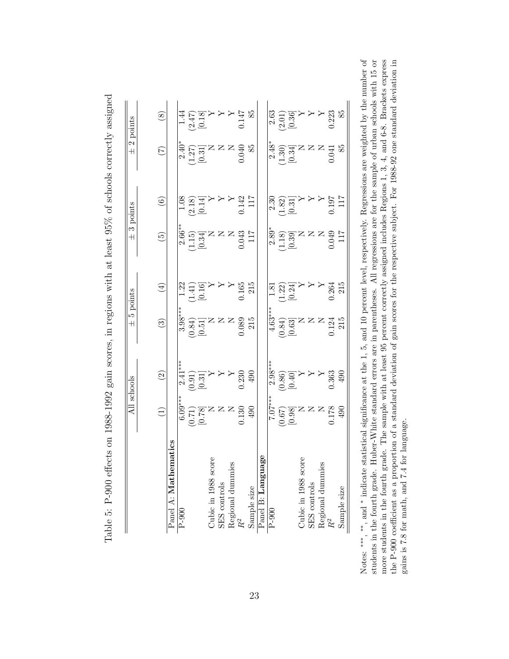|                                                                      |                                                                                                                                                                                                                                                                                                                                                                                                                                                                                                                                                                  | All schools                                                                                                                                                                                                                                                                                                                          | $\overline{+}$         | 5 points                                                                                                                | $\overline{+}$                                                                                                                                                 | 3 points                                                                                         | $\overline{+}$                                                                                                                                       | 2 points                                                                                      |
|----------------------------------------------------------------------|------------------------------------------------------------------------------------------------------------------------------------------------------------------------------------------------------------------------------------------------------------------------------------------------------------------------------------------------------------------------------------------------------------------------------------------------------------------------------------------------------------------------------------------------------------------|--------------------------------------------------------------------------------------------------------------------------------------------------------------------------------------------------------------------------------------------------------------------------------------------------------------------------------------|------------------------|-------------------------------------------------------------------------------------------------------------------------|----------------------------------------------------------------------------------------------------------------------------------------------------------------|--------------------------------------------------------------------------------------------------|------------------------------------------------------------------------------------------------------------------------------------------------------|-----------------------------------------------------------------------------------------------|
|                                                                      | $\begin{pmatrix} 1 \end{pmatrix}$                                                                                                                                                                                                                                                                                                                                                                                                                                                                                                                                | $\widehat{S}$                                                                                                                                                                                                                                                                                                                        | $\widehat{\mathbb{C}}$ | $\tag{4}$                                                                                                               | $\widetilde{\mathbb{P}}$                                                                                                                                       | $\widehat{\mathbf{e}}$                                                                           | E                                                                                                                                                    | $\circledS$                                                                                   |
| Panel A: Mathematics                                                 |                                                                                                                                                                                                                                                                                                                                                                                                                                                                                                                                                                  |                                                                                                                                                                                                                                                                                                                                      |                        |                                                                                                                         |                                                                                                                                                                |                                                                                                  |                                                                                                                                                      |                                                                                               |
| $P-900$                                                              |                                                                                                                                                                                                                                                                                                                                                                                                                                                                                                                                                                  |                                                                                                                                                                                                                                                                                                                                      |                        |                                                                                                                         |                                                                                                                                                                |                                                                                                  |                                                                                                                                                      |                                                                                               |
|                                                                      | $\begin{array}{c} \begin{array}{c} \ast \\ 0.00 \\ \ast \\ 0.07 \\ \ast \end{array} \\ \begin{array}{c} \ast \\ \ast \\ \ast \\ \ast \end{array} \\ \begin{array}{c} \ast \\ \ast \\ \ast \\ \ast \end{array} \\ \begin{array}{c} \ast \\ \ast \\ \ast \\ \ast \end{array} \\ \begin{array}{c} \ast \\ \ast \\ \ast \\ \ast \end{array} \\ \begin{array}{c} \ast \\ \ast \\ \ast \\ \ast \end{array} \\ \begin{array}{c} \ast \\ \ast \\ \ast \\ \ast \end{array} \\ \begin{array}{c} \ast \\ \ast \\ \ast \\ \ast \end{array} \\ \begin{array}{c} \ast \\ \ast$ | $\begin{array}{l} \frac{1}{2.41**} \\ \hline 0.91) \\ 0.31 \\ \hline 1 \\ 0.31 \\ \end{array}$<br>$\begin{array}{l} \times \\ \times \\ \times \\ 0.230 \\ \end{array}$                                                                                                                                                              |                        |                                                                                                                         | $\begin{bmatrix} 2.66^{**} \\ 2.15 \\ 0.34 \end{bmatrix}$<br>$\begin{bmatrix} 1.15 \\ 0.34 \end{bmatrix}$<br>$\begin{bmatrix} 2 & 8 \\ 0 & 0.43 \end{bmatrix}$ | $\begin{array}{c} 1.08 \\ (2.18) \\ [0.14] \\ Y \\ Y \\ Y \\ 142 \\ 0.142 \\ 117 \\ \end{array}$ | $2.40^{+1}$<br>$2.7$<br>$1.27$<br>$1.37$<br>$1.5$<br>$1.5$<br>$1.5$<br>$1.5$<br>$1.5$<br>$1.5$<br>$1.5$<br>$1.5$<br>$1.5$<br>$1.5$<br>$1.5$<br>$1.5$ | $\begin{array}{c} 1.44 \\ (2.47) \\ (0.18) \\ Y \\ Y \\ Y \\ 44 \\ Y \\ 61.44 \\ \end{array}$ |
|                                                                      |                                                                                                                                                                                                                                                                                                                                                                                                                                                                                                                                                                  |                                                                                                                                                                                                                                                                                                                                      |                        |                                                                                                                         |                                                                                                                                                                |                                                                                                  |                                                                                                                                                      |                                                                                               |
| Cubic in 1988 score                                                  |                                                                                                                                                                                                                                                                                                                                                                                                                                                                                                                                                                  |                                                                                                                                                                                                                                                                                                                                      |                        |                                                                                                                         |                                                                                                                                                                |                                                                                                  |                                                                                                                                                      |                                                                                               |
| SES controls                                                         |                                                                                                                                                                                                                                                                                                                                                                                                                                                                                                                                                                  |                                                                                                                                                                                                                                                                                                                                      |                        |                                                                                                                         |                                                                                                                                                                |                                                                                                  |                                                                                                                                                      |                                                                                               |
|                                                                      |                                                                                                                                                                                                                                                                                                                                                                                                                                                                                                                                                                  |                                                                                                                                                                                                                                                                                                                                      |                        |                                                                                                                         |                                                                                                                                                                |                                                                                                  |                                                                                                                                                      |                                                                                               |
| Regional dummies $\mathbb{R}^2$                                      |                                                                                                                                                                                                                                                                                                                                                                                                                                                                                                                                                                  |                                                                                                                                                                                                                                                                                                                                      |                        |                                                                                                                         |                                                                                                                                                                |                                                                                                  |                                                                                                                                                      |                                                                                               |
| Sample size                                                          | $90+$                                                                                                                                                                                                                                                                                                                                                                                                                                                                                                                                                            | $490\,$                                                                                                                                                                                                                                                                                                                              | 215                    |                                                                                                                         |                                                                                                                                                                |                                                                                                  | 85                                                                                                                                                   | 85                                                                                            |
| ijе<br>Panel B: Langua                                               |                                                                                                                                                                                                                                                                                                                                                                                                                                                                                                                                                                  |                                                                                                                                                                                                                                                                                                                                      |                        |                                                                                                                         |                                                                                                                                                                |                                                                                                  |                                                                                                                                                      |                                                                                               |
| $P-900$                                                              |                                                                                                                                                                                                                                                                                                                                                                                                                                                                                                                                                                  |                                                                                                                                                                                                                                                                                                                                      |                        |                                                                                                                         |                                                                                                                                                                |                                                                                                  |                                                                                                                                                      |                                                                                               |
|                                                                      | $\begin{array}{l} 0.0748 \\ 0.0714 \\ -0.0000 \\ -0.0000 \\ -0.0000 \\ -0.0000 \\ -0.0000 \\ -0.0000 \\ -0.0000 \\ -0.0000 \\ -0.0000 \\ -0.0000 \\ -0.0000 \\ -0.0000 \\ -0.0000 \\ -0.0000 \\ -0.0000 \\ -0.0000 \\ -0.0000 \\ -0.0000 \\ -0.0000 \\ -0.0000 \\ -0.0000 \\ -0.0000 \\ -0.0000 \\ -0.0000 \\ -0.00$                                                                                                                                                                                                                                             | $\begin{array}{c} 2.98^{***} \\ (0.86) \\ (0.40) \\ (0.40) \\ (0.50) \\ (0.36) \\ (0.36) \\ (0.36) \\ (0.36) \\ (0.36) \\ (0.36) \\ (0.36) \\ (0.36) \\ (0.36) \\ (0.36) \\ (0.36) \\ (0.36) \\ (0.36) \\ (0.36) \\ (0.36) \\ (0.36) \\ (0.36) \\ (0.36) \\ (0.36) \\ (0.36) \\ (0.36) \\ (0.36) \\ (0.36) \\ (0.36) \\ (0.36) \\ ($ |                        | $\begin{array}{l} 1.81 \\ (1.22) \\ [0.24] \\ \textrm{Y} \\ Y \\ Y \\ 215 \\ 0.264 \\ \textrm{ } \\ 215 \\ \end{array}$ | $2.89$<br>$2.39$<br>$1.18$<br>$0.39$<br>$0.39$<br>$0.39$<br>$0.39$<br>$0.39$<br>$0.39$<br>$0.39$                                                               | $\begin{array}{c} 2.30 \\ (1.82) \\ (0.31] \\ Y \\ Y \\ Y \\ 117 \\ 117 \\ \end{array}$          | $2.48$<br>$-1.30$<br>$-1.30$<br>$-1.30$<br>$-1.30$<br>$-1.30$<br>$-1.30$<br>$-1.30$<br>$-1.30$                                                       |                                                                                               |
|                                                                      |                                                                                                                                                                                                                                                                                                                                                                                                                                                                                                                                                                  |                                                                                                                                                                                                                                                                                                                                      |                        |                                                                                                                         |                                                                                                                                                                |                                                                                                  |                                                                                                                                                      |                                                                                               |
| Cubic in 1988 score                                                  |                                                                                                                                                                                                                                                                                                                                                                                                                                                                                                                                                                  |                                                                                                                                                                                                                                                                                                                                      |                        |                                                                                                                         |                                                                                                                                                                |                                                                                                  |                                                                                                                                                      |                                                                                               |
| SES controls                                                         |                                                                                                                                                                                                                                                                                                                                                                                                                                                                                                                                                                  |                                                                                                                                                                                                                                                                                                                                      |                        |                                                                                                                         |                                                                                                                                                                |                                                                                                  |                                                                                                                                                      |                                                                                               |
| $\begin{tabular}{l} Aegional {\rm \,\,dummiss} \\ R^2 \end{tabular}$ |                                                                                                                                                                                                                                                                                                                                                                                                                                                                                                                                                                  |                                                                                                                                                                                                                                                                                                                                      |                        |                                                                                                                         |                                                                                                                                                                |                                                                                                  |                                                                                                                                                      | $\begin{array}{c} 2.63 \\ (2.01) \\ [0.36] \\ Y \\ Y \\ Y \\ 2.23 \\ \end{array}$             |
|                                                                      |                                                                                                                                                                                                                                                                                                                                                                                                                                                                                                                                                                  |                                                                                                                                                                                                                                                                                                                                      |                        |                                                                                                                         |                                                                                                                                                                |                                                                                                  |                                                                                                                                                      |                                                                                               |
| Sample size                                                          |                                                                                                                                                                                                                                                                                                                                                                                                                                                                                                                                                                  | $-490$                                                                                                                                                                                                                                                                                                                               |                        |                                                                                                                         |                                                                                                                                                                |                                                                                                  | 85                                                                                                                                                   | 85                                                                                            |

Table 5: P-900 effects on 1988-1992 gain scores, in regions with at least 95% of schools correctly assigned Table 5: P-900 effects on 1988-1992 gain scores, in regions with at least 95% of schools correctly assigned

students in the fourth grade. Huber-White standard errors are in parentheses. All regressions are for the sample of urban schools with 15 or more students in the fourth grade. The sample with at least 95 percent correctly assigned includes Regions 1, 3, 4, and 6-8. Brackets express the P-900 coefficient as a proportion of a standard deviation of gain scores for the respective subject. For 1988-92 one standard deviation in indicate statistical significance at the 1, 5, and 10 percent level, respectively. Regressions are weighted by the number of students in the fourth grade. Huber-White standard errors are in parentheses. All regressions are for the sample of urban schools with 15 or more students in the fourth grade. The sample with at least 95 percent correctly assigned includes Regions 1, 3, 4, and 6-8. Brackets express the P-900 coefficient as a proportion of a standard deviation of gain scores for the respective subject. For 1988-92 one standard deviation in gains is 7.8 for math, and 7.4 for language. gains is 7.8 for math, and 7.4 for language. Notes: ∗∗∗ ,∗∗, and ∗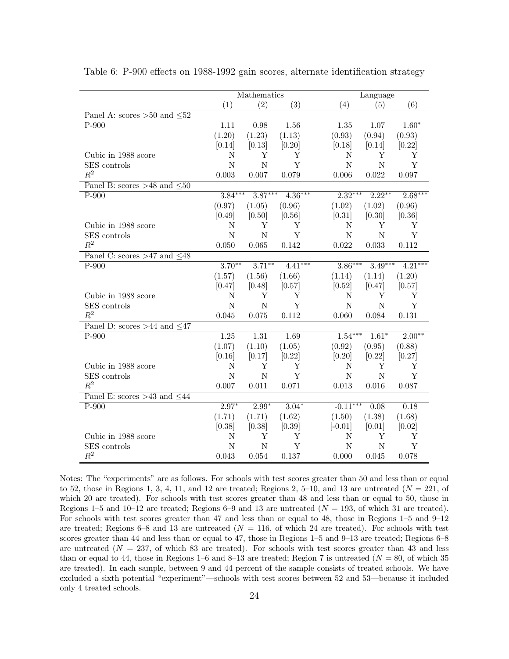|                                     |                   | Mathematics |           |             | Language    |           |
|-------------------------------------|-------------------|-------------|-----------|-------------|-------------|-----------|
|                                     | (1)               | (2)         | (3)       | (4)         | (5)         | (6)       |
| Panel A: scores $>50$ and $\leq 52$ |                   |             |           |             |             |           |
| $P-900$                             | 1.11              | 0.98        | 1.56      | 1.35        | 1.07        | $1.60*$   |
|                                     | (1.20)            | (1.23)      | (1.13)    | (0.93)      | (0.94)      | (0.93)    |
|                                     | [0.14]            | [0.13]      | [0.20]    | [0.18]      | [0.14]      | [0.22]    |
| Cubic in 1988 score                 | N                 | Υ           | Υ         | N           | Υ           | Υ         |
| SES controls                        | $\mathbf N$       | $\mathbf N$ | Y         | $\mathbf N$ | $\mathbf N$ | Y         |
| $R^2$                               | 0.003             | 0.007       | 0.079     | 0.006       | 0.022       | 0.097     |
| Panel B: scores >48 and $\leq 50$   |                   |             |           |             |             |           |
| $P-900$                             | $3.84***$         | $3.87***$   | $4.36***$ | $2.32***$   | $2.22***$   | $2.68***$ |
|                                     | (0.97)            | (1.05)      | (0.96)    | (1.02)      | (1.02)      | (0.96)    |
|                                     | [0.49]            | [0.50]      | [0.56]    | [0.31]      | [0.30]      | [0.36]    |
| Cubic in 1988 score                 | N                 | Y           | Y         | N           | Y           | Y         |
| SES controls                        | N                 | N           | Y         | N           | $\mathbf N$ | Y         |
| $R^2$                               | 0.050             | 0.065       | 0.142     | 0.022       | 0.033       | 0.112     |
| Panel C: scores >47 and $\leq 48$   |                   |             |           |             |             |           |
| $P-900$                             | $3.70**$          | $3.71***$   | $4.41***$ | $3.86***$   | $3.49***$   | $4.21***$ |
|                                     | (1.57)            | (1.56)      | (1.66)    | (1.14)      | (1.14)      | (1.20)    |
|                                     | [0.47]            | [0.48]      | [0.57]    | [0.52]      | [0.47]      | [0.57]    |
| Cubic in 1988 score                 | N                 | Υ           | Υ         | N           | Υ           | Y         |
| SES controls                        | $\mathbf N$       | $\mathbf N$ | Y         | $\mathbf N$ | $\mathbf N$ | Y         |
| $R^2$                               | 0.045             | 0.075       | 0.112     | 0.060       | 0.084       | 0.131     |
| Panel D: scores >44 and $\leq 47$   |                   |             |           |             |             |           |
| $P-900$                             | $\overline{1.25}$ | 1.31        | 1.69      | $1.54***$   | $1.61*$     | $2.00**$  |
|                                     | (1.07)            | (1.10)      | (1.05)    | (0.92)      | (0.95)      | (0.88)    |
|                                     | [0.16]            | [0.17]      | [0.22]    | [0.20]      | [0.22]      | [0.27]    |
| Cubic in 1988 score                 | $\mathbf N$       | Υ           | Υ         | $\mathbf N$ | Υ           | Υ         |
| SES controls                        | N                 | $\mathbf N$ | Y         | $\mathbf N$ | $\mathbf N$ | Y         |
| $\mathbb{R}^2$                      | 0.007             | 0.011       | 0.071     | 0.013       | 0.016       | 0.087     |
| Panel E: scores >43 and $\leq 44$   |                   |             |           |             |             |           |
| $P-900$                             | $2.97*$           | $2.99*$     | $3.04*$   | $-0.11***$  | 0.08        | 0.18      |
|                                     | (1.71)            | (1.71)      | (1.62)    | (1.50)      | (1.38)      | (1.68)    |
|                                     | [0.38]            | [0.38]      | [0.39]    | $[-0.01]$   | [0.01]      | [0.02]    |
| Cubic in 1988 score                 | N                 | Y           | Υ         | N           | Υ           | Y         |
| SES controls                        | N                 | N           | Y         | N           | N           | Y         |
| $R^2$                               | 0.043             | 0.054       | 0.137     | 0.000       | 0.045       | 0.078     |

Table 6: P-900 effects on 1988-1992 gain scores, alternate identification strategy

Notes: The "experiments" are as follows. For schools with test scores greater than 50 and less than or equal to 52, those in Regions 1, 3, 4, 11, and 12 are treated; Regions 2, 5–10, and 13 are untreated  $(N = 221)$ , of which 20 are treated). For schools with test scores greater than 48 and less than or equal to 50, those in Regions 1–5 and 10–12 are treated; Regions 6–9 and 13 are untreated  $(N = 193, 6$  which 31 are treated). For schools with test scores greater than 47 and less than or equal to 48, those in Regions 1–5 and 9–12 are treated; Regions 6–8 and 13 are untreated ( $N = 116$ , of which 24 are treated). For schools with test scores greater than 44 and less than or equal to 47, those in Regions 1–5 and 9–13 are treated; Regions 6–8 are untreated  $(N = 237, 6$  which 83 are treated). For schools with test scores greater than 43 and less than or equal to 44, those in Regions 1–6 and 8–13 are treated; Region 7 is untreated ( $N = 80$ , of which 35 are treated). In each sample, between 9 and 44 percent of the sample consists of treated schools. We have excluded a sixth potential "experiment"—schools with test scores between 52 and 53—because it included only 4 treated schools.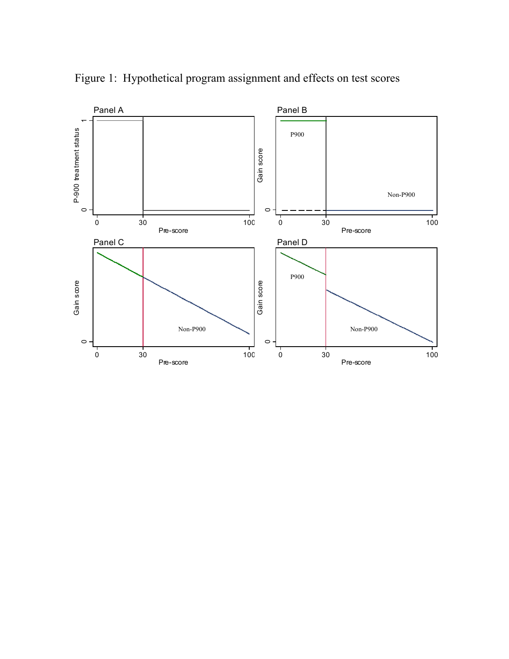

Figure 1: Hypothetical program assignment and effects on test scores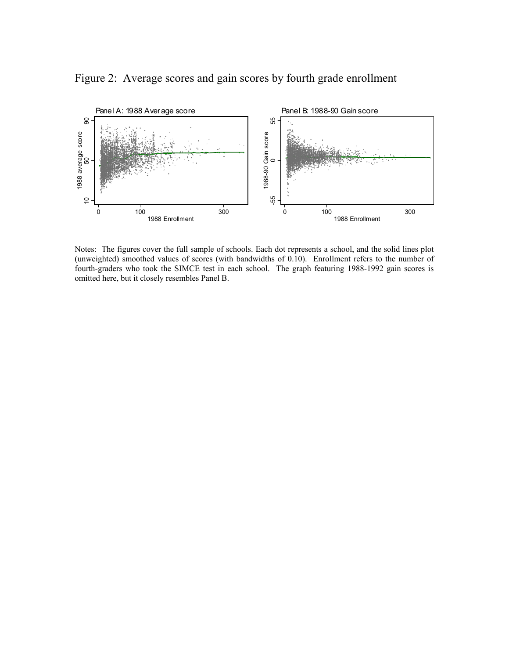Figure 2: Average scores and gain scores by fourth grade enrollment



Notes: The figures cover the full sample of schools. Each dot represents a school, and the solid lines plot (unweighted) smoothed values of scores (with bandwidths of 0.10). Enrollment refers to the number of fourth-graders who took the SIMCE test in each school. The graph featuring 1988-1992 gain scores is omitted here, but it closely resembles Panel B.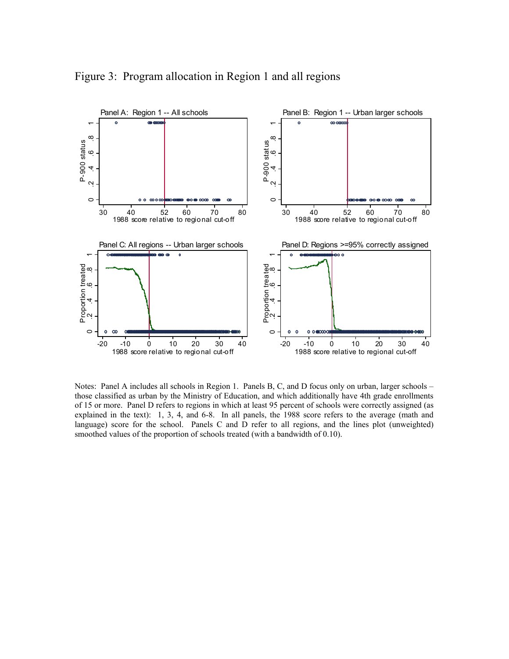

Figure 3: Program allocation in Region 1 and all regions

Notes: Panel A includes all schools in Region 1. Panels B, C, and D focus only on urban, larger schools – those classified as urban by the Ministry of Education, and which additionally have 4th grade enrollments of 15 or more. Panel D refers to regions in which at least 95 percent of schools were correctly assigned (as explained in the text): 1, 3, 4, and 6-8. In all panels, the 1988 score refers to the average (math and language) score for the school. Panels C and D refer to all regions, and the lines plot (unweighted) smoothed values of the proportion of schools treated (with a bandwidth of 0.10).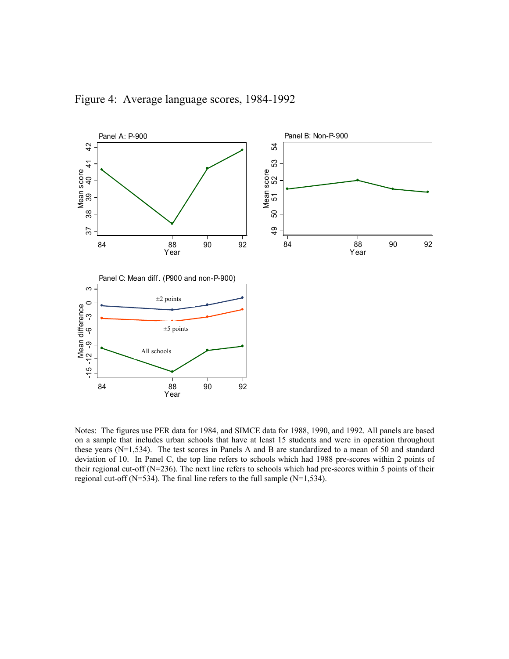

Figure 4: Average language scores, 1984-1992

Notes: The figures use PER data for 1984, and SIMCE data for 1988, 1990, and 1992. All panels are based on a sample that includes urban schools that have at least 15 students and were in operation throughout these years (N=1,534). The test scores in Panels A and B are standardized to a mean of 50 and standard deviation of 10. In Panel C, the top line refers to schools which had 1988 pre-scores within 2 points of their regional cut-off (N=236). The next line refers to schools which had pre-scores within 5 points of their regional cut-off (N=534). The final line refers to the full sample (N=1,534).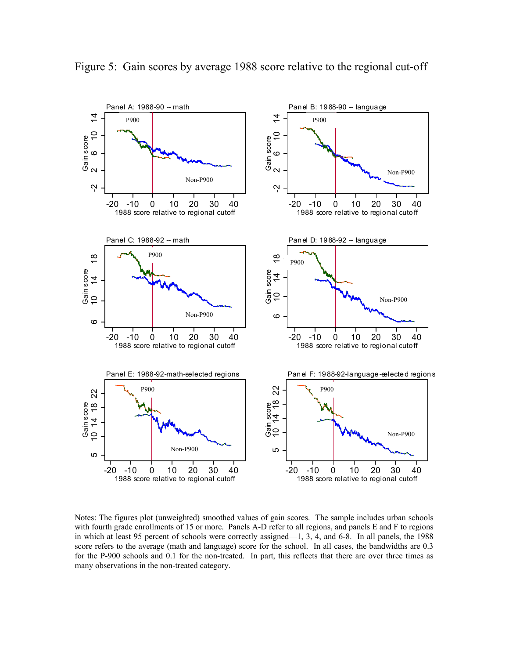

Figure 5: Gain scores by average 1988 score relative to the regional cut-off

Notes: The figures plot (unweighted) smoothed values of gain scores. The sample includes urban schools with fourth grade enrollments of 15 or more. Panels A-D refer to all regions, and panels E and F to regions in which at least 95 percent of schools were correctly assigned—1, 3, 4, and 6-8. In all panels, the 1988 score refers to the average (math and language) score for the school. In all cases, the bandwidths are 0.3 for the P-900 schools and 0.1 for the non-treated. In part, this reflects that there are over three times as many observations in the non-treated category.